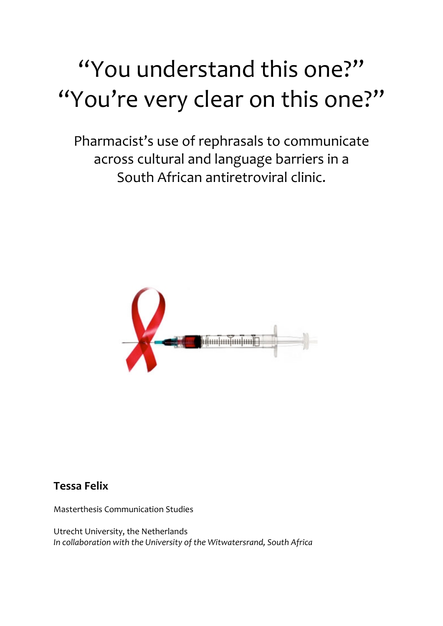# "You understand this one?" "You're very clear on this one?"

Pharmacist's use of rephrasals to communicate across cultural and language barriers in a South African antiretroviral clinic.



# **Tessa!Felix**

Masterthesis Communication Studies

Utrecht University, the Netherlands In collaboration with the University of the Witwatersrand, South Africa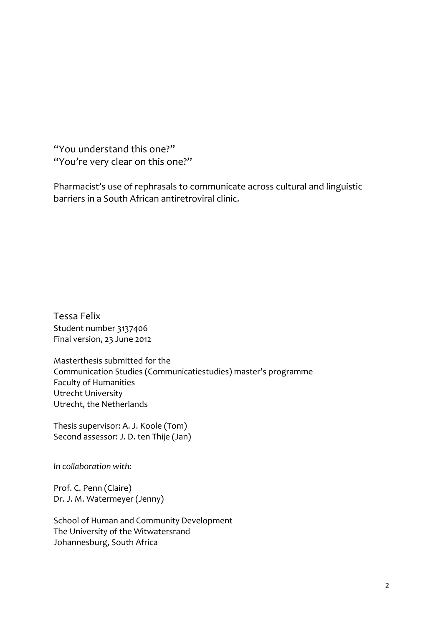"You understand this one?" "You're very clear on this one?"

Pharmacist's use of rephrasals to communicate across cultural and linguistic barriers in a South African antiretroviral clinic.

Tessa Felix Student number 3137406 Final version, 23 June 2012

Masterthesis submitted for the Communication Studies (Communicatiestudies) master's programme Faculty of Humanities Utrecht University Utrecht, the Netherlands

Thesis supervisor: A. J. Koole (Tom) Second assessor: J. D. ten Thije (Jan)

In collaboration with:

Prof. C. Penn (Claire) Dr. J. M. Watermeyer (Jenny)

School of Human and Community Development The University of the Witwatersrand Johannesburg, South Africa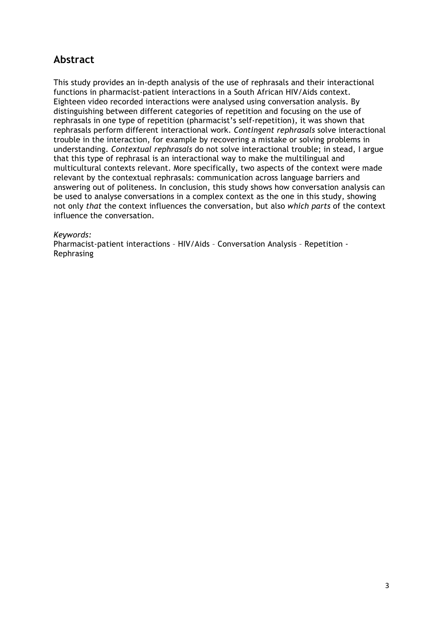# **Abstract**

This study provides an in-depth analysis of the use of rephrasals and their interactional functions in pharmacist-patient interactions in a South African HIV/Aids context. Eighteen video recorded interactions were analysed using conversation analysis. By distinguishing between different categories of repetition and focusing on the use of rephrasals in one type of repetition (pharmacist's self-repetition), it was shown that rephrasals perform different interactional work. *Contingent rephrasals* solve interactional trouble in the interaction, for example by recovering a mistake or solving problems in understanding. *Contextual rephrasals* do not solve interactional trouble; in stead, I argue that this type of rephrasal is an interactional way to make the multilingual and multicultural contexts relevant. More specifically, two aspects of the context were made relevant by the contextual rephrasals: communication across language barriers and answering out of politeness. In conclusion, this study shows how conversation analysis can be used to analyse conversations in a complex context as the one in this study, showing not only *that* the context influences the conversation, but also *which parts* of the context influence the conversation.

#### *Keywords:*

Pharmacist-patient interactions – HIV/Aids – Conversation Analysis – Repetition - Rephrasing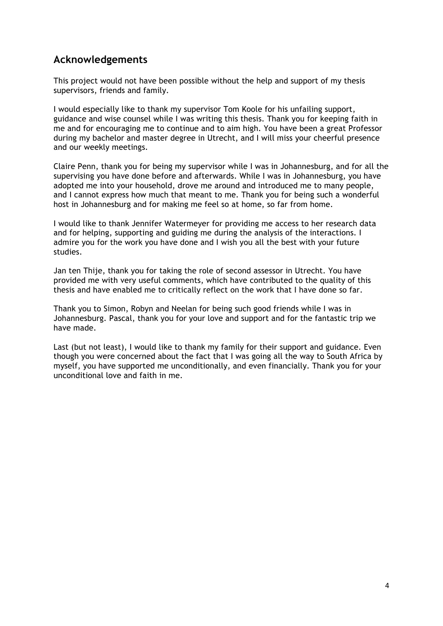# **Acknowledgements**

This project would not have been possible without the help and support of my thesis supervisors, friends and family.

I would especially like to thank my supervisor Tom Koole for his unfailing support, guidance and wise counsel while I was writing this thesis. Thank you for keeping faith in me and for encouraging me to continue and to aim high. You have been a great Professor during my bachelor and master degree in Utrecht, and I will miss your cheerful presence and our weekly meetings.

Claire Penn, thank you for being my supervisor while I was in Johannesburg, and for all the supervising you have done before and afterwards. While I was in Johannesburg, you have adopted me into your household, drove me around and introduced me to many people, and I cannot express how much that meant to me. Thank you for being such a wonderful host in Johannesburg and for making me feel so at home, so far from home.

I would like to thank Jennifer Watermeyer for providing me access to her research data and for helping, supporting and guiding me during the analysis of the interactions. I admire you for the work you have done and I wish you all the best with your future studies.

Jan ten Thije, thank you for taking the role of second assessor in Utrecht. You have provided me with very useful comments, which have contributed to the quality of this thesis and have enabled me to critically reflect on the work that I have done so far.

Thank you to Simon, Robyn and Neelan for being such good friends while I was in Johannesburg. Pascal, thank you for your love and support and for the fantastic trip we have made.

Last (but not least), I would like to thank my family for their support and guidance. Even though you were concerned about the fact that I was going all the way to South Africa by myself, you have supported me unconditionally, and even financially. Thank you for your unconditional love and faith in me.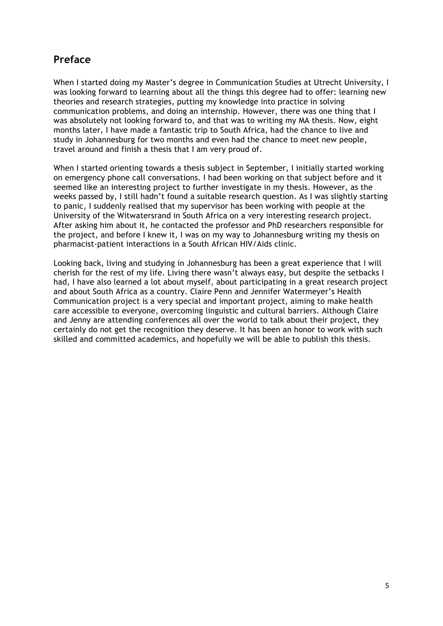# **Preface**

When I started doing my Master's degree in Communication Studies at Utrecht University, I was looking forward to learning about all the things this degree had to offer: learning new theories and research strategies, putting my knowledge into practice in solving communication problems, and doing an internship. However, there was one thing that I was absolutely not looking forward to, and that was to writing my MA thesis. Now, eight months later, I have made a fantastic trip to South Africa, had the chance to live and study in Johannesburg for two months and even had the chance to meet new people, travel around and finish a thesis that I am very proud of.

When I started orienting towards a thesis subject in September, I initially started working on emergency phone call conversations. I had been working on that subject before and it seemed like an interesting project to further investigate in my thesis. However, as the weeks passed by, I still hadn't found a suitable research question. As I was slightly starting to panic, I suddenly realised that my supervisor has been working with people at the University of the Witwatersrand in South Africa on a very interesting research project. After asking him about it, he contacted the professor and PhD researchers responsible for the project, and before I knew it, I was on my way to Johannesburg writing my thesis on pharmacist-patient interactions in a South African HIV/Aids clinic.

Looking back, living and studying in Johannesburg has been a great experience that I will cherish for the rest of my life. Living there wasn't always easy, but despite the setbacks I had, I have also learned a lot about myself, about participating in a great research project and about South Africa as a country. Claire Penn and Jennifer Watermeyer's Health Communication project is a very special and important project, aiming to make health care accessible to everyone, overcoming linguistic and cultural barriers. Although Claire and Jenny are attending conferences all over the world to talk about their project, they certainly do not get the recognition they deserve. It has been an honor to work with such skilled and committed academics, and hopefully we will be able to publish this thesis.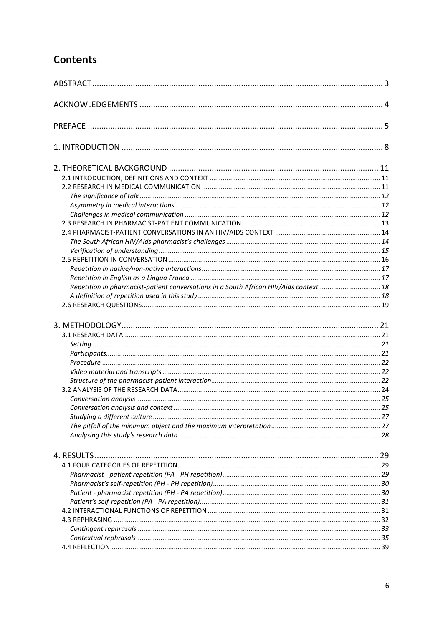# Contents

| Repetition in pharmacist-patient conversations in a South African HIV/Aids context 18 |  |
|---------------------------------------------------------------------------------------|--|
|                                                                                       |  |
|                                                                                       |  |
|                                                                                       |  |
|                                                                                       |  |
|                                                                                       |  |
|                                                                                       |  |
|                                                                                       |  |
|                                                                                       |  |
|                                                                                       |  |
|                                                                                       |  |
|                                                                                       |  |
|                                                                                       |  |
|                                                                                       |  |
|                                                                                       |  |
|                                                                                       |  |
|                                                                                       |  |
|                                                                                       |  |
|                                                                                       |  |
|                                                                                       |  |
|                                                                                       |  |
|                                                                                       |  |
|                                                                                       |  |
|                                                                                       |  |
|                                                                                       |  |
|                                                                                       |  |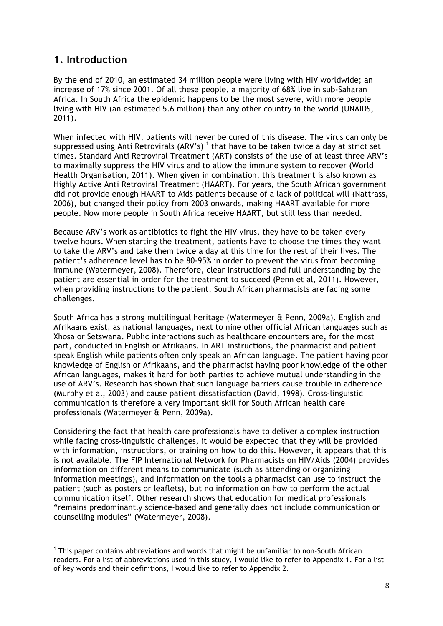# **1. Introduction**

!!!!!!!!!!!!!!!!!!!!!!!!!!!!!!!!!!!!!!!!!!!!!!!!!!!!!!!!!!!!

By the end of 2010, an estimated 34 million people were living with HIV worldwide; an increase of 17% since 2001. Of all these people, a majority of 68% live in sub-Saharan Africa. In South Africa the epidemic happens to be the most severe, with more people living with HIV (an estimated 5.6 million) than any other country in the world (UNAIDS, 2011).

When infected with HIV, patients will never be cured of this disease. The virus can only be suppressed using Anti Retrovirals (ARV's)  $^1$  that have to be taken twice a day at strict set times. Standard Anti Retroviral Treatment (ART) consists of the use of at least three ARV's to maximally suppress the HIV virus and to allow the immune system to recover (World Health Organisation, 2011). When given in combination, this treatment is also known as Highly Active Anti Retroviral Treatment (HAART). For years, the South African government did not provide enough HAART to Aids patients because of a lack of political will (Nattrass, 2006), but changed their policy from 2003 onwards, making HAART available for more people. Now more people in South Africa receive HAART, but still less than needed.

Because ARV's work as antibiotics to fight the HIV virus, they have to be taken every twelve hours. When starting the treatment, patients have to choose the times they want to take the ARV's and take them twice a day at this time for the rest of their lives. The patient's adherence level has to be 80-95% in order to prevent the virus from becoming immune (Watermeyer, 2008). Therefore, clear instructions and full understanding by the patient are essential in order for the treatment to succeed (Penn et al, 2011). However, when providing instructions to the patient, South African pharmacists are facing some challenges.

South Africa has a strong multilingual heritage (Watermeyer & Penn, 2009a). English and Afrikaans exist, as national languages, next to nine other official African languages such as Xhosa or Setswana. Public interactions such as healthcare encounters are, for the most part, conducted in English or Afrikaans. In ART instructions, the pharmacist and patient speak English while patients often only speak an African language. The patient having poor knowledge of English or Afrikaans, and the pharmacist having poor knowledge of the other African languages, makes it hard for both parties to achieve mutual understanding in the use of ARV's. Research has shown that such language barriers cause trouble in adherence (Murphy et al, 2003) and cause patient dissatisfaction (David, 1998). Cross-linguistic communication is therefore a very important skill for South African health care professionals (Watermeyer & Penn, 2009a).

Considering the fact that health care professionals have to deliver a complex instruction while facing cross-linguistic challenges, it would be expected that they will be provided with information, instructions, or training on how to do this. However, it appears that this is not available. The FIP International Network for Pharmacists on HIV/Aids (2004) provides information on different means to communicate (such as attending or organizing information meetings), and information on the tools a pharmacist can use to instruct the patient (such as posters or leaflets), but no information on how to perform the actual communication itself. Other research shows that education for medical professionals "remains predominantly science-based and generally does not include communication or counselling modules" (Watermeyer, 2008).

 $<sup>1</sup>$  This paper contains abbreviations and words that might be unfamiliar to non-South African</sup> readers. For a list of abbreviations used in this study, I would like to refer to Appendix 1. For a list of key words and their definitions, I would like to refer to Appendix 2.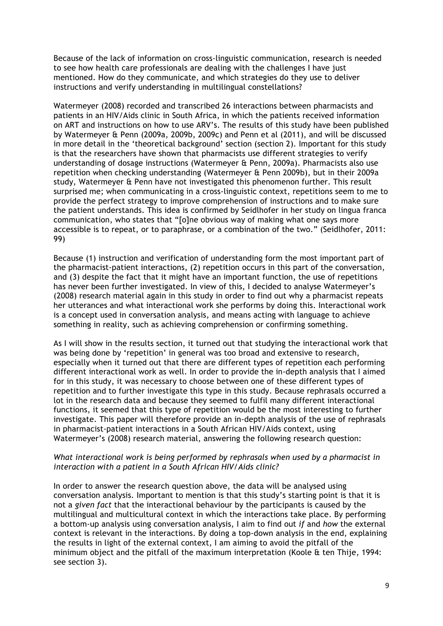Because of the lack of information on cross-linguistic communication, research is needed to see how health care professionals are dealing with the challenges I have just mentioned. How do they communicate, and which strategies do they use to deliver instructions and verify understanding in multilingual constellations?

Watermeyer (2008) recorded and transcribed 26 interactions between pharmacists and patients in an HIV/Aids clinic in South Africa, in which the patients received information on ART and instructions on how to use ARV's. The results of this study have been published by Watermeyer & Penn (2009a, 2009b, 2009c) and Penn et al (2011), and will be discussed in more detail in the 'theoretical background' section (section 2). Important for this study is that the researchers have shown that pharmacists use different strategies to verify understanding of dosage instructions (Watermeyer & Penn, 2009a). Pharmacists also use repetition when checking understanding (Watermeyer & Penn 2009b), but in their 2009a study, Watermeyer & Penn have not investigated this phenomenon further. This result surprised me; when communicating in a cross-linguistic context, repetitions seem to me to provide the perfect strategy to improve comprehension of instructions and to make sure the patient understands. This idea is confirmed by Seidlhofer in her study on lingua franca communication, who states that "[o]ne obvious way of making what one says more accessible is to repeat, or to paraphrase, or a combination of the two." (Seidlhofer, 2011: 99)

Because (1) instruction and verification of understanding form the most important part of the pharmacist-patient interactions, (2) repetition occurs in this part of the conversation, and (3) despite the fact that it might have an important function, the use of repetitions has never been further investigated. In view of this, I decided to analyse Watermeyer's (2008) research material again in this study in order to find out why a pharmacist repeats her utterances and what interactional work she performs by doing this. Interactional work is a concept used in conversation analysis, and means acting with language to achieve something in reality, such as achieving comprehension or confirming something.

As I will show in the results section, it turned out that studying the interactional work that was being done by 'repetition' in general was too broad and extensive to research, especially when it turned out that there are different types of repetition each performing different interactional work as well. In order to provide the in-depth analysis that I aimed for in this study, it was necessary to choose between one of these different types of repetition and to further investigate this type in this study. Because rephrasals occurred a lot in the research data and because they seemed to fulfil many different interactional functions, it seemed that this type of repetition would be the most interesting to further investigate. This paper will therefore provide an in-depth analysis of the use of rephrasals in pharmacist-patient interactions in a South African HIV/Aids context, using Watermeyer's (2008) research material, answering the following research question:

#### *What interactional work is being performed by rephrasals when used by a pharmacist in interaction with a patient in a South African HIV/Aids clinic?*

In order to answer the research question above, the data will be analysed using conversation analysis. Important to mention is that this study's starting point is that it is not a *given fact* that the interactional behaviour by the participants is caused by the multilingual and multicultural context in which the interactions take place. By performing a bottom-up analysis using conversation analysis, I aim to find out *if* and *how* the external context is relevant in the interactions. By doing a top-down analysis in the end, explaining the results in light of the external context, I am aiming to avoid the pitfall of the minimum object and the pitfall of the maximum interpretation (Koole & ten Thije, 1994: see section 3).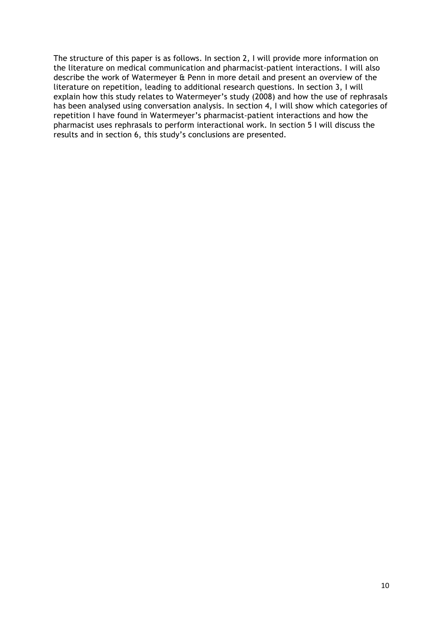The structure of this paper is as follows. In section 2, I will provide more information on the literature on medical communication and pharmacist-patient interactions. I will also describe the work of Watermeyer & Penn in more detail and present an overview of the literature on repetition, leading to additional research questions. In section 3, I will explain how this study relates to Watermeyer's study (2008) and how the use of rephrasals has been analysed using conversation analysis. In section 4, I will show which categories of repetition I have found in Watermeyer's pharmacist-patient interactions and how the pharmacist uses rephrasals to perform interactional work. In section 5 I will discuss the results and in section 6, this study's conclusions are presented.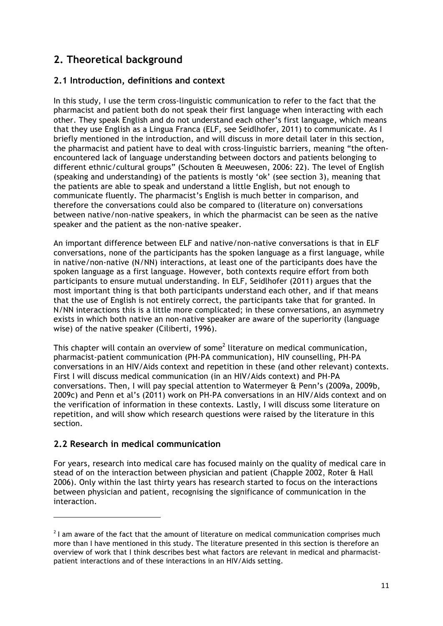# **2. Theoretical background**

# **2.1 Introduction, definitions and context**

In this study, I use the term cross-linguistic communication to refer to the fact that the pharmacist and patient both do not speak their first language when interacting with each other. They speak English and do not understand each other's first language, which means that they use English as a Lingua Franca (ELF, see Seidlhofer, 2011) to communicate. As I briefly mentioned in the introduction, and will discuss in more detail later in this section, the pharmacist and patient have to deal with cross-linguistic barriers, meaning "the oftenencountered lack of language understanding between doctors and patients belonging to different ethnic/cultural groups" (Schouten & Meeuwesen, 2006: 22). The level of English (speaking and understanding) of the patients is mostly 'ok' (see section 3), meaning that the patients are able to speak and understand a little English, but not enough to communicate fluently. The pharmacist's English is much better in comparison, and therefore the conversations could also be compared to (literature on) conversations between native/non-native speakers, in which the pharmacist can be seen as the native speaker and the patient as the non-native speaker.

An important difference between ELF and native/non-native conversations is that in ELF conversations, none of the participants has the spoken language as a first language, while in native/non-native (N/NN) interactions, at least one of the participants does have the spoken language as a first language. However, both contexts require effort from both participants to ensure mutual understanding. In ELF, Seidlhofer (2011) argues that the most important thing is that both participants understand each other, and if that means that the use of English is not entirely correct, the participants take that for granted. In N/NN interactions this is a little more complicated; in these conversations, an asymmetry exists in which both native an non-native speaker are aware of the superiority (language wise) of the native speaker (Ciliberti, 1996).

This chapter will contain an overview of some<sup>2</sup> literature on medical communication, pharmacist-patient communication (PH-PA communication), HIV counselling, PH-PA conversations in an HIV/Aids context and repetition in these (and other relevant) contexts. First I will discuss medical communication (in an HIV/Aids context) and PH-PA conversations. Then, I will pay special attention to Watermeyer & Penn's (2009a, 2009b, 2009c) and Penn et al's (2011) work on PH-PA conversations in an HIV/Aids context and on the verification of information in these contexts. Lastly, I will discuss some literature on repetition, and will show which research questions were raised by the literature in this section.

# **2.2 Research in medical communication**

!!!!!!!!!!!!!!!!!!!!!!!!!!!!!!!!!!!!!!!!!!!!!!!!!!!!!!!!!!!!

For years, research into medical care has focused mainly on the quality of medical care in stead of on the interaction between physician and patient (Chapple 2002, Roter & Hall 2006). Only within the last thirty years has research started to focus on the interactions between physician and patient, recognising the significance of communication in the interaction.

 $<sup>2</sup>$  I am aware of the fact that the amount of literature on medical communication comprises much</sup> more than I have mentioned in this study. The literature presented in this section is therefore an overview of work that I think describes best what factors are relevant in medical and pharmacistpatient interactions and of these interactions in an HIV/Aids setting.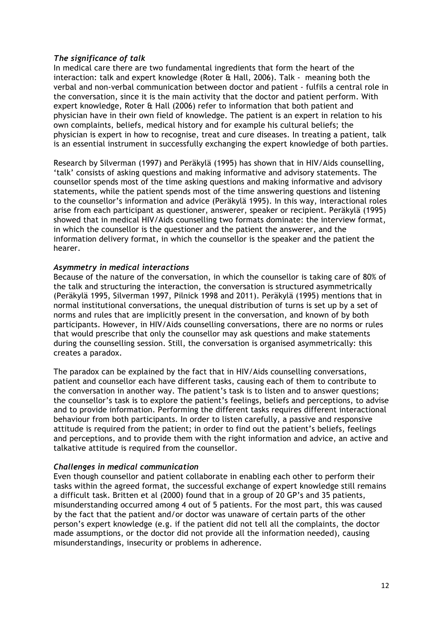#### *The significance of talk*

In medical care there are two fundamental ingredients that form the heart of the interaction: talk and expert knowledge (Roter & Hall, 2006). Talk - meaning both the verbal and non-verbal communication between doctor and patient - fulfils a central role in the conversation, since it is the main activity that the doctor and patient perform. With expert knowledge, Roter & Hall (2006) refer to information that both patient and physician have in their own field of knowledge. The patient is an expert in relation to his own complaints, beliefs, medical history and for example his cultural beliefs; the physician is expert in how to recognise, treat and cure diseases. In treating a patient, talk is an essential instrument in successfully exchanging the expert knowledge of both parties.

Research by Silverman (1997) and Peräkylä (1995) has shown that in HIV/Aids counselling, 'talk' consists of asking questions and making informative and advisory statements. The counsellor spends most of the time asking questions and making informative and advisory statements, while the patient spends most of the time answering questions and listening to the counsellor's information and advice (Peräkylä 1995). In this way, interactional roles arise from each participant as questioner, answerer, speaker or recipient. Peräkylä (1995) showed that in medical HIV/Aids counselling two formats dominate: the interview format, in which the counsellor is the questioner and the patient the answerer, and the information delivery format, in which the counsellor is the speaker and the patient the hearer.

# *Asymmetry in medical interactions*

Because of the nature of the conversation, in which the counsellor is taking care of 80% of the talk and structuring the interaction, the conversation is structured asymmetrically (Peräkylä 1995, Silverman 1997, Pilnick 1998 and 2011). Peräkylä (1995) mentions that in normal institutional conversations, the unequal distribution of turns is set up by a set of norms and rules that are implicitly present in the conversation, and known of by both participants. However, in HIV/Aids counselling conversations, there are no norms or rules that would prescribe that only the counsellor may ask questions and make statements during the counselling session. Still, the conversation is organised asymmetrically: this creates a paradox.

The paradox can be explained by the fact that in HIV/Aids counselling conversations, patient and counsellor each have different tasks, causing each of them to contribute to the conversation in another way. The patient's task is to listen and to answer questions; the counsellor's task is to explore the patient's feelings, beliefs and perceptions, to advise and to provide information. Performing the different tasks requires different interactional behaviour from both participants. In order to listen carefully, a passive and responsive attitude is required from the patient; in order to find out the patient's beliefs, feelings and perceptions, and to provide them with the right information and advice, an active and talkative attitude is required from the counsellor.

# *Challenges in medical communication*

Even though counsellor and patient collaborate in enabling each other to perform their tasks within the agreed format, the successful exchange of expert knowledge still remains a difficult task. Britten et al (2000) found that in a group of 20 GP's and 35 patients, misunderstanding occurred among 4 out of 5 patients. For the most part, this was caused by the fact that the patient and/or doctor was unaware of certain parts of the other person's expert knowledge (e.g. if the patient did not tell all the complaints, the doctor made assumptions, or the doctor did not provide all the information needed), causing misunderstandings, insecurity or problems in adherence.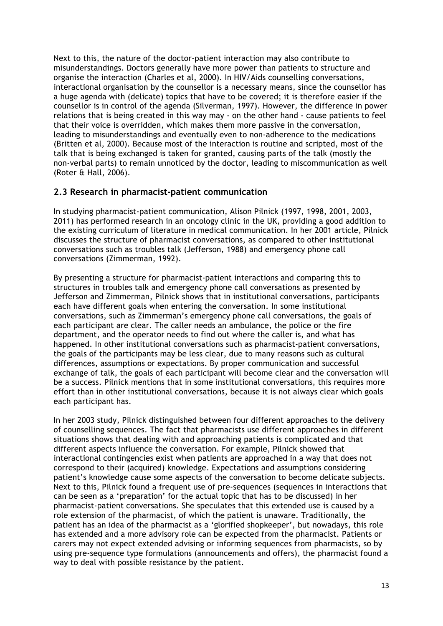Next to this, the nature of the doctor-patient interaction may also contribute to misunderstandings. Doctors generally have more power than patients to structure and organise the interaction (Charles et al, 2000). In HIV/Aids counselling conversations, interactional organisation by the counsellor is a necessary means, since the counsellor has a huge agenda with (delicate) topics that have to be covered; it is therefore easier if the counsellor is in control of the agenda (Silverman, 1997). However, the difference in power relations that is being created in this way may - on the other hand - cause patients to feel that their voice is overridden, which makes them more passive in the conversation, leading to misunderstandings and eventually even to non-adherence to the medications (Britten et al, 2000). Because most of the interaction is routine and scripted, most of the talk that is being exchanged is taken for granted, causing parts of the talk (mostly the non-verbal parts) to remain unnoticed by the doctor, leading to miscommunication as well (Roter & Hall, 2006).

# **2.3 Research in pharmacist-patient communication**

In studying pharmacist-patient communication, Alison Pilnick (1997, 1998, 2001, 2003, 2011) has performed research in an oncology clinic in the UK, providing a good addition to the existing curriculum of literature in medical communication. In her 2001 article, Pilnick discusses the structure of pharmacist conversations, as compared to other institutional conversations such as troubles talk (Jefferson, 1988) and emergency phone call conversations (Zimmerman, 1992).

By presenting a structure for pharmacist-patient interactions and comparing this to structures in troubles talk and emergency phone call conversations as presented by Jefferson and Zimmerman, Pilnick shows that in institutional conversations, participants each have different goals when entering the conversation. In some institutional conversations, such as Zimmerman's emergency phone call conversations, the goals of each participant are clear. The caller needs an ambulance, the police or the fire department, and the operator needs to find out where the caller is, and what has happened. In other institutional conversations such as pharmacist-patient conversations, the goals of the participants may be less clear, due to many reasons such as cultural differences, assumptions or expectations. By proper communication and successful exchange of talk, the goals of each participant will become clear and the conversation will be a success. Pilnick mentions that in some institutional conversations, this requires more effort than in other institutional conversations, because it is not always clear which goals each participant has.

In her 2003 study, Pilnick distinguished between four different approaches to the delivery of counselling sequences. The fact that pharmacists use different approaches in different situations shows that dealing with and approaching patients is complicated and that different aspects influence the conversation. For example, Pilnick showed that interactional contingencies exist when patients are approached in a way that does not correspond to their (acquired) knowledge. Expectations and assumptions considering patient's knowledge cause some aspects of the conversation to become delicate subjects. Next to this, Pilnick found a frequent use of pre-sequences (sequences in interactions that can be seen as a 'preparation' for the actual topic that has to be discussed) in her pharmacist-patient conversations. She speculates that this extended use is caused by a role extension of the pharmacist, of which the patient is unaware. Traditionally, the patient has an idea of the pharmacist as a 'glorified shopkeeper', but nowadays, this role has extended and a more advisory role can be expected from the pharmacist. Patients or carers may not expect extended advising or informing sequences from pharmacists, so by using pre-sequence type formulations (announcements and offers), the pharmacist found a way to deal with possible resistance by the patient.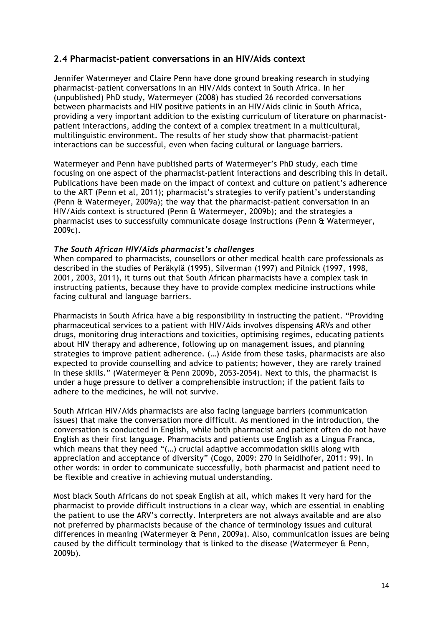# **2.4 Pharmacist-patient conversations in an HIV/Aids context**

Jennifer Watermeyer and Claire Penn have done ground breaking research in studying pharmacist-patient conversations in an HIV/Aids context in South Africa. In her (unpublished) PhD study, Watermeyer (2008) has studied 26 recorded conversations between pharmacists and HIV positive patients in an HIV/Aids clinic in South Africa, providing a very important addition to the existing curriculum of literature on pharmacistpatient interactions, adding the context of a complex treatment in a multicultural, multilinguistic environment. The results of her study show that pharmacist-patient interactions can be successful, even when facing cultural or language barriers.

Watermeyer and Penn have published parts of Watermeyer's PhD study, each time focusing on one aspect of the pharmacist-patient interactions and describing this in detail. Publications have been made on the impact of context and culture on patient's adherence to the ART (Penn et al, 2011); pharmacist's strategies to verify patient's understanding (Penn & Watermeyer, 2009a); the way that the pharmacist-patient conversation in an HIV/Aids context is structured (Penn & Watermeyer, 2009b); and the strategies a pharmacist uses to successfully communicate dosage instructions (Penn & Watermeyer, 2009c).

# *The South African HIV/Aids pharmacist's challenges*

When compared to pharmacists, counsellors or other medical health care professionals as described in the studies of Peräkylä (1995), Silverman (1997) and Pilnick (1997, 1998, 2001, 2003, 2011), it turns out that South African pharmacists have a complex task in instructing patients, because they have to provide complex medicine instructions while facing cultural and language barriers.

Pharmacists in South Africa have a big responsibility in instructing the patient. "Providing pharmaceutical services to a patient with HIV/Aids involves dispensing ARVs and other drugs, monitoring drug interactions and toxicities, optimising regimes, educating patients about HIV therapy and adherence, following up on management issues, and planning strategies to improve patient adherence. (…) Aside from these tasks, pharmacists are also expected to provide counselling and advice to patients; however, they are rarely trained in these skills." (Watermeyer & Penn 2009b, 2053-2054). Next to this, the pharmacist is under a huge pressure to deliver a comprehensible instruction; if the patient fails to adhere to the medicines, he will not survive.

South African HIV/Aids pharmacists are also facing language barriers (communication issues) that make the conversation more difficult. As mentioned in the introduction, the conversation is conducted in English, while both pharmacist and patient often do not have English as their first language. Pharmacists and patients use English as a Lingua Franca, which means that they need "(…) crucial adaptive accommodation skills along with appreciation and acceptance of diversity" (Cogo, 2009: 270 in Seidlhofer, 2011: 99). In other words: in order to communicate successfully, both pharmacist and patient need to be flexible and creative in achieving mutual understanding.

Most black South Africans do not speak English at all, which makes it very hard for the pharmacist to provide difficult instructions in a clear way, which are essential in enabling the patient to use the ARV's correctly. Interpreters are not always available and are also not preferred by pharmacists because of the chance of terminology issues and cultural differences in meaning (Watermeyer & Penn, 2009a). Also, communication issues are being caused by the difficult terminology that is linked to the disease (Watermeyer & Penn, 2009b).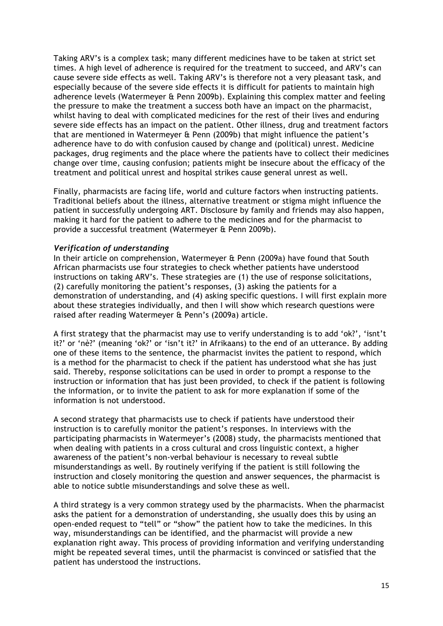Taking ARV's is a complex task; many different medicines have to be taken at strict set times. A high level of adherence is required for the treatment to succeed, and ARV's can cause severe side effects as well. Taking ARV's is therefore not a very pleasant task, and especially because of the severe side effects it is difficult for patients to maintain high adherence levels (Watermeyer & Penn 2009b). Explaining this complex matter and feeling the pressure to make the treatment a success both have an impact on the pharmacist, whilst having to deal with complicated medicines for the rest of their lives and enduring severe side effects has an impact on the patient. Other illness, drug and treatment factors that are mentioned in Watermeyer & Penn (2009b) that might influence the patient's adherence have to do with confusion caused by change and (political) unrest. Medicine packages, drug regiments and the place where the patients have to collect their medicines change over time, causing confusion; patients might be insecure about the efficacy of the treatment and political unrest and hospital strikes cause general unrest as well.

Finally, pharmacists are facing life, world and culture factors when instructing patients. Traditional beliefs about the illness, alternative treatment or stigma might influence the patient in successfully undergoing ART. Disclosure by family and friends may also happen, making it hard for the patient to adhere to the medicines and for the pharmacist to provide a successful treatment (Watermeyer & Penn 2009b).

#### *Verification of understanding*

In their article on comprehension, Watermeyer & Penn (2009a) have found that South African pharmacists use four strategies to check whether patients have understood instructions on taking ARV's. These strategies are (1) the use of response solicitations, (2) carefully monitoring the patient's responses, (3) asking the patients for a demonstration of understanding, and (4) asking specific questions. I will first explain more about these strategies individually, and then I will show which research questions were raised after reading Watermeyer & Penn's (2009a) article.

A first strategy that the pharmacist may use to verify understanding is to add 'ok?', 'isnt't it?' or 'nè?' (meaning 'ok?' or 'isn't it?' in Afrikaans) to the end of an utterance. By adding one of these items to the sentence, the pharmacist invites the patient to respond, which is a method for the pharmacist to check if the patient has understood what she has just said. Thereby, response solicitations can be used in order to prompt a response to the instruction or information that has just been provided, to check if the patient is following the information, or to invite the patient to ask for more explanation if some of the information is not understood.

A second strategy that pharmacists use to check if patients have understood their instruction is to carefully monitor the patient's responses. In interviews with the participating pharmacists in Watermeyer's (2008) study, the pharmacists mentioned that when dealing with patients in a cross cultural and cross linguistic context, a higher awareness of the patient's non-verbal behaviour is necessary to reveal subtle misunderstandings as well. By routinely verifying if the patient is still following the instruction and closely monitoring the question and answer sequences, the pharmacist is able to notice subtle misunderstandings and solve these as well.

A third strategy is a very common strategy used by the pharmacists. When the pharmacist asks the patient for a demonstration of understanding, she usually does this by using an open-ended request to "tell" or "show" the patient how to take the medicines. In this way, misunderstandings can be identified, and the pharmacist will provide a new explanation right away. This process of providing information and verifying understanding might be repeated several times, until the pharmacist is convinced or satisfied that the patient has understood the instructions.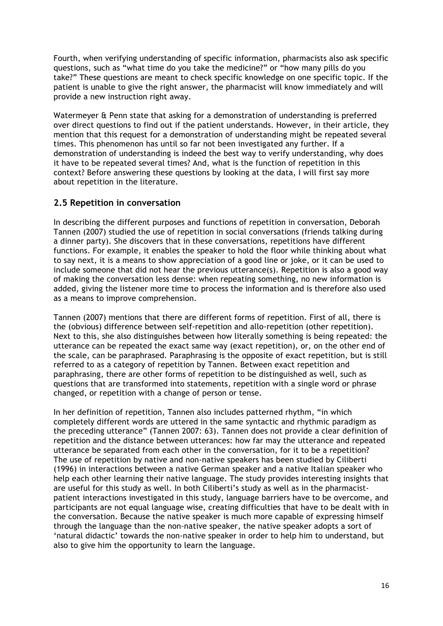Fourth, when verifying understanding of specific information, pharmacists also ask specific questions, such as "what time do you take the medicine?" or "how many pills do you take?" These questions are meant to check specific knowledge on one specific topic. If the patient is unable to give the right answer, the pharmacist will know immediately and will provide a new instruction right away.

Watermeyer & Penn state that asking for a demonstration of understanding is preferred over direct questions to find out if the patient understands. However, in their article, they mention that this request for a demonstration of understanding might be repeated several times. This phenomenon has until so far not been investigated any further. If a demonstration of understanding is indeed the best way to verify understanding, why does it have to be repeated several times? And, what is the function of repetition in this context? Before answering these questions by looking at the data, I will first say more about repetition in the literature.

# **2.5 Repetition in conversation**

In describing the different purposes and functions of repetition in conversation, Deborah Tannen (2007) studied the use of repetition in social conversations (friends talking during a dinner party). She discovers that in these conversations, repetitions have different functions. For example, it enables the speaker to hold the floor while thinking about what to say next, it is a means to show appreciation of a good line or joke, or it can be used to include someone that did not hear the previous utterance(s). Repetition is also a good way of making the conversation less dense: when repeating something, no new information is added, giving the listener more time to process the information and is therefore also used as a means to improve comprehension.

Tannen (2007) mentions that there are different forms of repetition. First of all, there is the (obvious) difference between self-repetition and allo-repetition (other repetition). Next to this, she also distinguishes between how literally something is being repeated: the utterance can be repeated the exact same way (exact repetition), or, on the other end of the scale, can be paraphrased. Paraphrasing is the opposite of exact repetition, but is still referred to as a category of repetition by Tannen. Between exact repetition and paraphrasing, there are other forms of repetition to be distinguished as well, such as questions that are transformed into statements, repetition with a single word or phrase changed, or repetition with a change of person or tense.

In her definition of repetition, Tannen also includes patterned rhythm, "in which completely different words are uttered in the same syntactic and rhythmic paradigm as the preceding utterance" (Tannen 2007: 63). Tannen does not provide a clear definition of repetition and the distance between utterances: how far may the utterance and repeated utterance be separated from each other in the conversation, for it to be a repetition? The use of repetition by native and non-native speakers has been studied by Ciliberti (1996) in interactions between a native German speaker and a native Italian speaker who help each other learning their native language. The study provides interesting insights that are useful for this study as well. In both Ciliberti's study as well as in the pharmacistpatient interactions investigated in this study, language barriers have to be overcome, and participants are not equal language wise, creating difficulties that have to be dealt with in the conversation. Because the native speaker is much more capable of expressing himself through the language than the non-native speaker, the native speaker adopts a sort of 'natural didactic' towards the non-native speaker in order to help him to understand, but also to give him the opportunity to learn the language.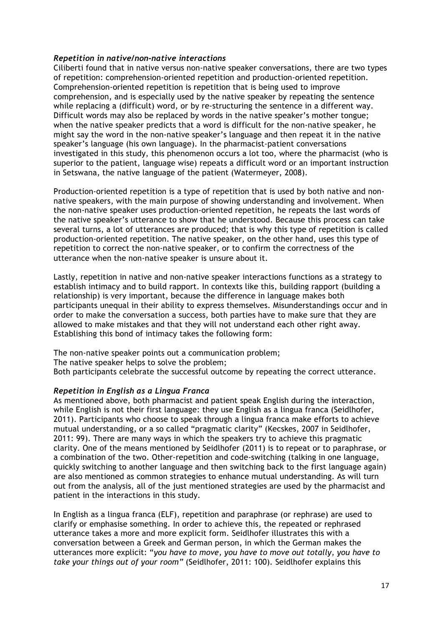#### *Repetition in native/non-native interactions*

Ciliberti found that in native versus non-native speaker conversations, there are two types of repetition: comprehension-oriented repetition and production-oriented repetition. Comprehension-oriented repetition is repetition that is being used to improve comprehension, and is especially used by the native speaker by repeating the sentence while replacing a (difficult) word, or by re-structuring the sentence in a different way. Difficult words may also be replaced by words in the native speaker's mother tongue; when the native speaker predicts that a word is difficult for the non-native speaker, he might say the word in the non-native speaker's language and then repeat it in the native speaker's language (his own language). In the pharmacist-patient conversations investigated in this study, this phenomenon occurs a lot too, where the pharmacist (who is superior to the patient, language wise) repeats a difficult word or an important instruction in Setswana, the native language of the patient (Watermeyer, 2008).

Production-oriented repetition is a type of repetition that is used by both native and nonnative speakers, with the main purpose of showing understanding and involvement. When the non-native speaker uses production-oriented repetition, he repeats the last words of the native speaker's utterance to show that he understood. Because this process can take several turns, a lot of utterances are produced; that is why this type of repetition is called production-oriented repetition. The native speaker, on the other hand, uses this type of repetition to correct the non-native speaker, or to confirm the correctness of the utterance when the non-native speaker is unsure about it.

Lastly, repetition in native and non-native speaker interactions functions as a strategy to establish intimacy and to build rapport. In contexts like this, building rapport (building a relationship) is very important, because the difference in language makes both participants unequal in their ability to express themselves. Misunderstandings occur and in order to make the conversation a success, both parties have to make sure that they are allowed to make mistakes and that they will not understand each other right away. Establishing this bond of intimacy takes the following form:

The non-native speaker points out a communication problem; The native speaker helps to solve the problem; Both participants celebrate the successful outcome by repeating the correct utterance.

#### *Repetition in English as a Lingua Franca*

As mentioned above, both pharmacist and patient speak English during the interaction, while English is not their first language: they use English as a lingua franca (Seidlhofer, 2011). Participants who choose to speak through a lingua franca make efforts to achieve mutual understanding, or a so called "pragmatic clarity" (Kecskes, 2007 in Seidlhofer, 2011: 99). There are many ways in which the speakers try to achieve this pragmatic clarity. One of the means mentioned by Seidlhofer (2011) is to repeat or to paraphrase, or a combination of the two. Other-repetition and code-switching (talking in one language, quickly switching to another language and then switching back to the first language again) are also mentioned as common strategies to enhance mutual understanding. As will turn out from the analysis, all of the just mentioned strategies are used by the pharmacist and patient in the interactions in this study.

In English as a lingua franca (ELF), repetition and paraphrase (or rephrase) are used to clarify or emphasise something. In order to achieve this, the repeated or rephrased utterance takes a more and more explicit form. Seidlhofer illustrates this with a conversation between a Greek and German person, in which the German makes the utterances more explicit: "*you have to move, you have to move out totally, you have to take your things out of your room"* (Seidlhofer, 2011: 100)*.* Seidlhofer explains this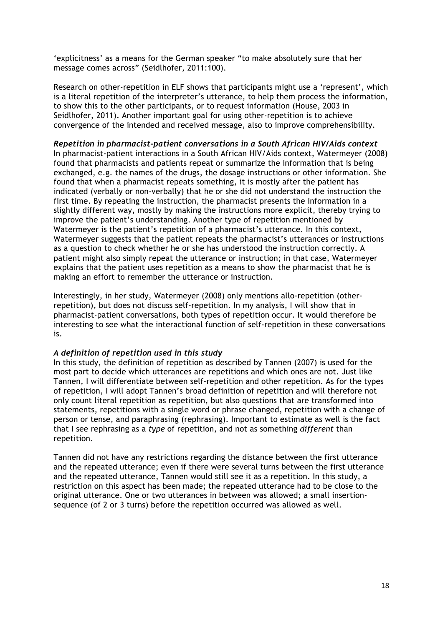'explicitness' as a means for the German speaker "to make absolutely sure that her message comes across" (Seidlhofer, 2011:100).

Research on other-repetition in ELF shows that participants might use a 'represent', which is a literal repetition of the interpreter's utterance, to help them process the information, to show this to the other participants, or to request information (House, 2003 in Seidlhofer, 2011). Another important goal for using other-repetition is to achieve convergence of the intended and received message, also to improve comprehensibility.

#### *Repetition in pharmacist-patient conversations in a South African HIV/Aids context*

In pharmacist-patient interactions in a South African HIV/Aids context, Watermeyer (2008) found that pharmacists and patients repeat or summarize the information that is being exchanged, e.g. the names of the drugs, the dosage instructions or other information. She found that when a pharmacist repeats something, it is mostly after the patient has indicated (verbally or non-verbally) that he or she did not understand the instruction the first time. By repeating the instruction, the pharmacist presents the information in a slightly different way, mostly by making the instructions more explicit, thereby trying to improve the patient's understanding. Another type of repetition mentioned by Watermeyer is the patient's repetition of a pharmacist's utterance. In this context, Watermeyer suggests that the patient repeats the pharmacist's utterances or instructions as a question to check whether he or she has understood the instruction correctly. A patient might also simply repeat the utterance or instruction; in that case, Watermeyer explains that the patient uses repetition as a means to show the pharmacist that he is making an effort to remember the utterance or instruction.

Interestingly, in her study, Watermeyer (2008) only mentions allo-repetition (otherrepetition), but does not discuss self-repetition. In my analysis, I will show that in pharmacist-patient conversations, both types of repetition occur. It would therefore be interesting to see what the interactional function of self-repetition in these conversations is.

#### *A definition of repetition used in this study*

In this study, the definition of repetition as described by Tannen (2007) is used for the most part to decide which utterances are repetitions and which ones are not. Just like Tannen, I will differentiate between self-repetition and other repetition. As for the types of repetition, I will adopt Tannen's broad definition of repetition and will therefore not only count literal repetition as repetition, but also questions that are transformed into statements, repetitions with a single word or phrase changed, repetition with a change of person or tense, and paraphrasing (rephrasing). Important to estimate as well is the fact that I see rephrasing as a *type* of repetition, and not as something *different* than repetition.

Tannen did not have any restrictions regarding the distance between the first utterance and the repeated utterance; even if there were several turns between the first utterance and the repeated utterance, Tannen would still see it as a repetition. In this study, a restriction on this aspect has been made; the repeated utterance had to be close to the original utterance. One or two utterances in between was allowed; a small insertionsequence (of 2 or 3 turns) before the repetition occurred was allowed as well.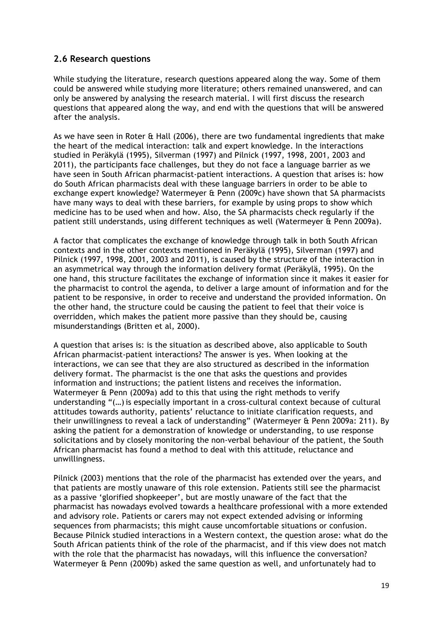# **2.6 Research questions**

While studying the literature, research questions appeared along the way. Some of them could be answered while studying more literature; others remained unanswered, and can only be answered by analysing the research material. I will first discuss the research questions that appeared along the way, and end with the questions that will be answered after the analysis.

As we have seen in Roter & Hall (2006), there are two fundamental ingredients that make the heart of the medical interaction: talk and expert knowledge. In the interactions studied in Peräkylä (1995), Silverman (1997) and Pilnick (1997, 1998, 2001, 2003 and 2011), the participants face challenges, but they do not face a language barrier as we have seen in South African pharmacist-patient interactions. A question that arises is: how do South African pharmacists deal with these language barriers in order to be able to exchange expert knowledge? Watermeyer & Penn (2009c) have shown that SA pharmacists have many ways to deal with these barriers, for example by using props to show which medicine has to be used when and how. Also, the SA pharmacists check regularly if the patient still understands, using different techniques as well (Watermeyer & Penn 2009a).

A factor that complicates the exchange of knowledge through talk in both South African contexts and in the other contexts mentioned in Peräkylä (1995), Silverman (1997) and Pilnick (1997, 1998, 2001, 2003 and 2011), is caused by the structure of the interaction in an asymmetrical way through the information delivery format (Peräkylä, 1995). On the one hand, this structure facilitates the exchange of information since it makes it easier for the pharmacist to control the agenda, to deliver a large amount of information and for the patient to be responsive, in order to receive and understand the provided information. On the other hand, the structure could be causing the patient to feel that their voice is overridden, which makes the patient more passive than they should be, causing misunderstandings (Britten et al, 2000).

A question that arises is: is the situation as described above, also applicable to South African pharmacist-patient interactions? The answer is yes. When looking at the interactions, we can see that they are also structured as described in the information delivery format. The pharmacist is the one that asks the questions and provides information and instructions; the patient listens and receives the information. Watermeyer & Penn (2009a) add to this that using the right methods to verify understanding "(...) is especially important in a cross-cultural context because of cultural attitudes towards authority, patients' reluctance to initiate clarification requests, and their unwillingness to reveal a lack of understanding" (Watermeyer & Penn 2009a: 211). By asking the patient for a demonstration of knowledge or understanding, to use response solicitations and by closely monitoring the non-verbal behaviour of the patient, the South African pharmacist has found a method to deal with this attitude, reluctance and unwillingness.

Pilnick (2003) mentions that the role of the pharmacist has extended over the years, and that patients are mostly unaware of this role extension. Patients still see the pharmacist as a passive 'glorified shopkeeper', but are mostly unaware of the fact that the pharmacist has nowadays evolved towards a healthcare professional with a more extended and advisory role. Patients or carers may not expect extended advising or informing sequences from pharmacists; this might cause uncomfortable situations or confusion. Because Pilnick studied interactions in a Western context, the question arose: what do the South African patients think of the role of the pharmacist, and if this view does not match with the role that the pharmacist has nowadays, will this influence the conversation? Watermeyer & Penn (2009b) asked the same question as well, and unfortunately had to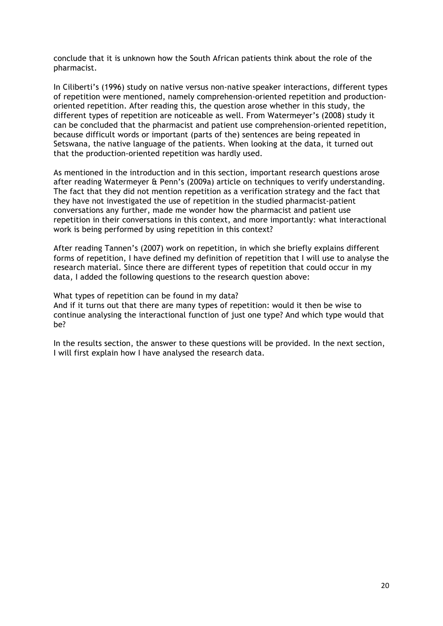conclude that it is unknown how the South African patients think about the role of the pharmacist.

In Ciliberti's (1996) study on native versus non-native speaker interactions, different types of repetition were mentioned, namely comprehension-oriented repetition and productionoriented repetition. After reading this, the question arose whether in this study, the different types of repetition are noticeable as well. From Watermeyer's (2008) study it can be concluded that the pharmacist and patient use comprehension-oriented repetition, because difficult words or important (parts of the) sentences are being repeated in Setswana, the native language of the patients. When looking at the data, it turned out that the production-oriented repetition was hardly used.

As mentioned in the introduction and in this section, important research questions arose after reading Watermeyer & Penn's (2009a) article on techniques to verify understanding. The fact that they did not mention repetition as a verification strategy and the fact that they have not investigated the use of repetition in the studied pharmacist-patient conversations any further, made me wonder how the pharmacist and patient use repetition in their conversations in this context, and more importantly: what interactional work is being performed by using repetition in this context?

After reading Tannen's (2007) work on repetition, in which she briefly explains different forms of repetition, I have defined my definition of repetition that I will use to analyse the research material. Since there are different types of repetition that could occur in my data, I added the following questions to the research question above:

What types of repetition can be found in my data?

And if it turns out that there are many types of repetition: would it then be wise to continue analysing the interactional function of just one type? And which type would that be?

In the results section, the answer to these questions will be provided. In the next section, I will first explain how I have analysed the research data.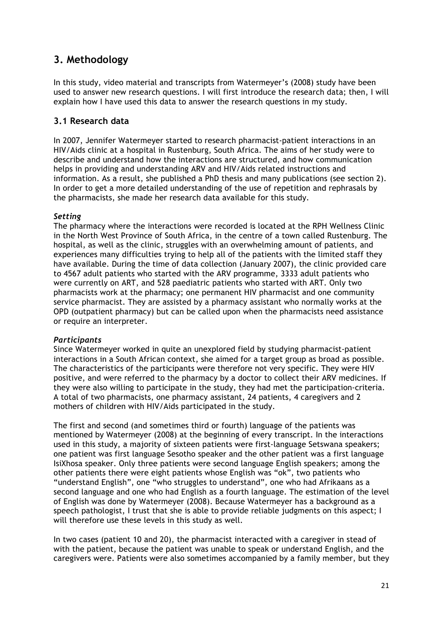# **3. Methodology**

In this study, video material and transcripts from Watermeyer's (2008) study have been used to answer new research questions. I will first introduce the research data; then, I will explain how I have used this data to answer the research questions in my study.

# **3.1 Research data**

In 2007, Jennifer Watermeyer started to research pharmacist-patient interactions in an HIV/Aids clinic at a hospital in Rustenburg, South Africa. The aims of her study were to describe and understand how the interactions are structured, and how communication helps in providing and understanding ARV and HIV/Aids related instructions and information. As a result, she published a PhD thesis and many publications (see section 2). In order to get a more detailed understanding of the use of repetition and rephrasals by the pharmacists, she made her research data available for this study.

# *Setting*

The pharmacy where the interactions were recorded is located at the RPH Wellness Clinic in the North West Province of South Africa, in the centre of a town called Rustenburg. The hospital, as well as the clinic, struggles with an overwhelming amount of patients, and experiences many difficulties trying to help all of the patients with the limited staff they have available. During the time of data collection (January 2007), the clinic provided care to 4567 adult patients who started with the ARV programme, 3333 adult patients who were currently on ART, and 528 paediatric patients who started with ART. Only two pharmacists work at the pharmacy; one permanent HIV pharmacist and one community service pharmacist. They are assisted by a pharmacy assistant who normally works at the OPD (outpatient pharmacy) but can be called upon when the pharmacists need assistance or require an interpreter.

# *Participants*

Since Watermeyer worked in quite an unexplored field by studying pharmacist-patient interactions in a South African context, she aimed for a target group as broad as possible. The characteristics of the participants were therefore not very specific. They were HIV positive, and were referred to the pharmacy by a doctor to collect their ARV medicines. If they were also willing to participate in the study, they had met the participation-criteria. A total of two pharmacists, one pharmacy assistant, 24 patients, 4 caregivers and 2 mothers of children with HIV/Aids participated in the study.

The first and second (and sometimes third or fourth) language of the patients was mentioned by Watermeyer (2008) at the beginning of every transcript. In the interactions used in this study, a majority of sixteen patients were first-language Setswana speakers; one patient was first language Sesotho speaker and the other patient was a first language IsiXhosa speaker. Only three patients were second language English speakers; among the other patients there were eight patients whose English was "ok", two patients who "understand English", one "who struggles to understand", one who had Afrikaans as a second language and one who had English as a fourth language. The estimation of the level of English was done by Watermeyer (2008). Because Watermeyer has a background as a speech pathologist, I trust that she is able to provide reliable judgments on this aspect; I will therefore use these levels in this study as well.

In two cases (patient 10 and 20), the pharmacist interacted with a caregiver in stead of with the patient, because the patient was unable to speak or understand English, and the caregivers were. Patients were also sometimes accompanied by a family member, but they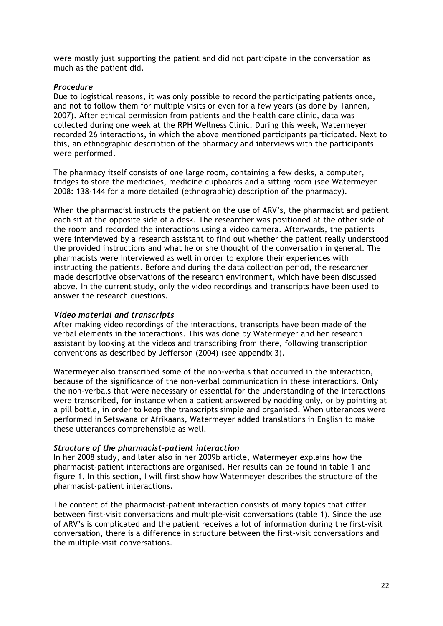were mostly just supporting the patient and did not participate in the conversation as much as the patient did.

## *Procedure*

Due to logistical reasons, it was only possible to record the participating patients once, and not to follow them for multiple visits or even for a few years (as done by Tannen, 2007). After ethical permission from patients and the health care clinic, data was collected during one week at the RPH Wellness Clinic. During this week, Watermeyer recorded 26 interactions, in which the above mentioned participants participated. Next to this, an ethnographic description of the pharmacy and interviews with the participants were performed.

The pharmacy itself consists of one large room, containing a few desks, a computer, fridges to store the medicines, medicine cupboards and a sitting room (see Watermeyer 2008: 138-144 for a more detailed (ethnographic) description of the pharmacy).

When the pharmacist instructs the patient on the use of ARV's, the pharmacist and patient each sit at the opposite side of a desk. The researcher was positioned at the other side of the room and recorded the interactions using a video camera. Afterwards, the patients were interviewed by a research assistant to find out whether the patient really understood the provided instructions and what he or she thought of the conversation in general. The pharmacists were interviewed as well in order to explore their experiences with instructing the patients. Before and during the data collection period, the researcher made descriptive observations of the research environment, which have been discussed above. In the current study, only the video recordings and transcripts have been used to answer the research questions.

#### *Video material and transcripts*

After making video recordings of the interactions, transcripts have been made of the verbal elements in the interactions. This was done by Watermeyer and her research assistant by looking at the videos and transcribing from there, following transcription conventions as described by Jefferson (2004) (see appendix 3).

Watermeyer also transcribed some of the non-verbals that occurred in the interaction, because of the significance of the non-verbal communication in these interactions. Only the non-verbals that were necessary or essential for the understanding of the interactions were transcribed, for instance when a patient answered by nodding only, or by pointing at a pill bottle, in order to keep the transcripts simple and organised. When utterances were performed in Setswana or Afrikaans, Watermeyer added translations in English to make these utterances comprehensible as well.

# *Structure of the pharmacist-patient interaction*

In her 2008 study, and later also in her 2009b article, Watermeyer explains how the pharmacist-patient interactions are organised. Her results can be found in table 1 and figure 1. In this section, I will first show how Watermeyer describes the structure of the pharmacist-patient interactions.

The content of the pharmacist-patient interaction consists of many topics that differ between first-visit conversations and multiple-visit conversations (table 1). Since the use of ARV's is complicated and the patient receives a lot of information during the first-visit conversation, there is a difference in structure between the first-visit conversations and the multiple-visit conversations.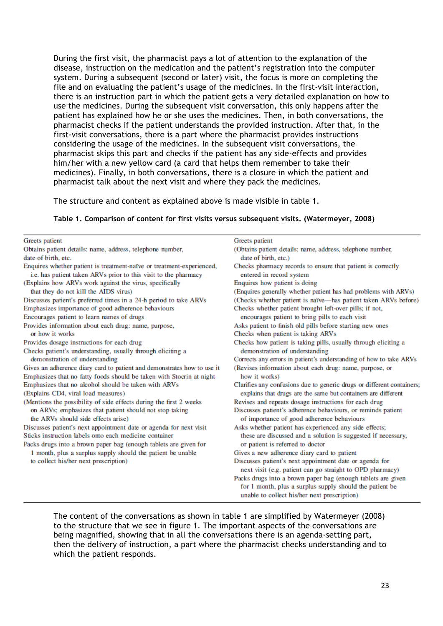During the first visit, the pharmacist pays a lot of attention to the explanation of the disease, instruction on the medication and the patient's registration into the computer system. During a subsequent (second or later) visit, the focus is more on completing the file and on evaluating the patient's usage of the medicines. In the first-visit interaction, there is an instruction part in which the patient gets a very detailed explanation on how to use the medicines. During the subsequent visit conversation, this only happens after the patient has explained how he or she uses the medicines. Then, in both conversations, the pharmacist checks if the patient understands the provided instruction. After that, in the first-visit conversations, there is a part where the pharmacist provides instructions considering the usage of the medicines. In the subsequent visit conversations, the pharmacist skips this part and checks if the patient has any side-effects and provides him/her with a new yellow card (a card that helps them remember to take their medicines). Finally, in both conversations, there is a closure in which the patient and pharmacist talk about the next visit and where they pack the medicines.

The structure and content as explained above is made visible in table 1.

#### **Table 1. Comparison of content for first visits versus subsequent visits. (Watermeyer, 2008)**

| (Obtains patient details: name, address, telephone number,<br>date of birth, etc.)<br>Checks pharmacy records to ensure that patient is correctly<br>entered in record system<br>Enquires how patient is doing<br>(Enquires generally whether patient has had problems with ARVs) |
|-----------------------------------------------------------------------------------------------------------------------------------------------------------------------------------------------------------------------------------------------------------------------------------|
|                                                                                                                                                                                                                                                                                   |
|                                                                                                                                                                                                                                                                                   |
|                                                                                                                                                                                                                                                                                   |
| (Checks whether patient is naïve-has patient taken ARVs before)<br>Checks whether patient brought left-over pills; if not,                                                                                                                                                        |
| encourages patient to bring pills to each visit                                                                                                                                                                                                                                   |
| Asks patient to finish old pills before starting new ones<br>Checks when patient is taking ARVs                                                                                                                                                                                   |
| Checks how patient is taking pills, usually through eliciting a<br>demonstration of understanding<br>Corrects any errors in patient's understanding of how to take ARVs                                                                                                           |
| (Revises information about each drug: name, purpose, or<br>how it works)                                                                                                                                                                                                          |
| Clarifies any confusions due to generic drugs or different containers;<br>explains that drugs are the same but containers are different                                                                                                                                           |
| Revises and repeats dosage instructions for each drug<br>Discusses patient's adherence behaviours, or reminds patient<br>of importance of good adherence behaviours<br>Asks whether patient has experienced any side effects;                                                     |
| these are discussed and a solution is suggested if necessary,<br>or patient is referred to doctor                                                                                                                                                                                 |
| Gives a new adherence diary card to patient<br>Discusses patient's next appointment date or agenda for                                                                                                                                                                            |
|                                                                                                                                                                                                                                                                                   |

The content of the conversations as shown in table 1 are simplified by Watermeyer (2008) to the structure that we see in figure 1. The important aspects of the conversations are being magnified, showing that in all the conversations there is an agenda-setting part, then the delivery of instruction, a part where the pharmacist checks understanding and to which the patient responds.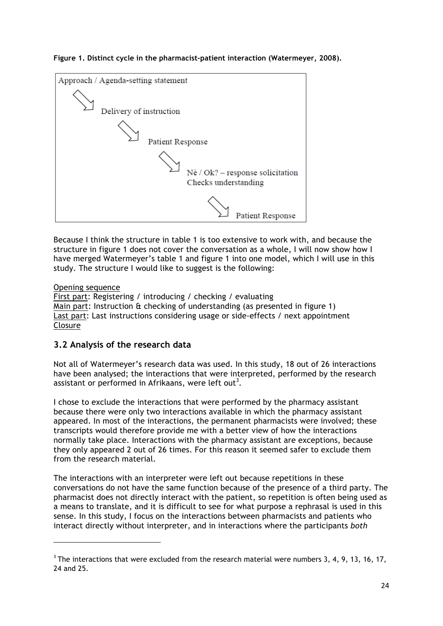



Because I think the structure in table 1 is too extensive to work with, and because the structure in figure 1 does not cover the conversation as a whole, I will now show how I have merged Watermeyer's table 1 and figure 1 into one model, which I will use in this study. The structure I would like to suggest is the following:

# Opening sequence

First part: Registering / introducing / checking / evaluating Main part: Instruction & checking of understanding (as presented in figure 1) Last part: Last instructions considering usage or side-effects / next appointment Closure

# **3.2 Analysis of the research data**

!!!!!!!!!!!!!!!!!!!!!!!!!!!!!!!!!!!!!!!!!!!!!!!!!!!!!!!!!!!!

Not all of Watermeyer's research data was used. In this study, 18 out of 26 interactions have been analysed; the interactions that were interpreted, performed by the research assistant or performed in Afrikaans, were left out<sup>3</sup>.

I chose to exclude the interactions that were performed by the pharmacy assistant because there were only two interactions available in which the pharmacy assistant appeared. In most of the interactions, the permanent pharmacists were involved; these transcripts would therefore provide me with a better view of how the interactions normally take place. Interactions with the pharmacy assistant are exceptions, because they only appeared 2 out of 26 times. For this reason it seemed safer to exclude them from the research material.

The interactions with an interpreter were left out because repetitions in these conversations do not have the same function because of the presence of a third party. The pharmacist does not directly interact with the patient, so repetition is often being used as a means to translate, and it is difficult to see for what purpose a rephrasal is used in this sense. In this study, I focus on the interactions between pharmacists and patients who interact directly without interpreter, and in interactions where the participants *both* 

 $3$  The interactions that were excluded from the research material were numbers 3, 4, 9, 13, 16, 17, 24 and 25.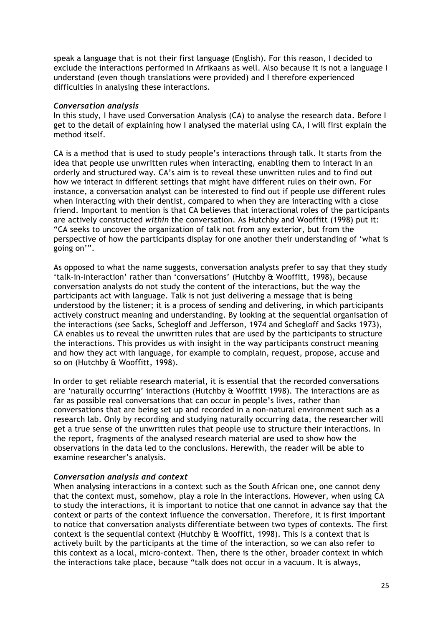speak a language that is not their first language (English). For this reason, I decided to exclude the interactions performed in Afrikaans as well. Also because it is not a language I understand (even though translations were provided) and I therefore experienced difficulties in analysing these interactions.

#### *Conversation analysis*

In this study, I have used Conversation Analysis (CA) to analyse the research data. Before I get to the detail of explaining how I analysed the material using CA, I will first explain the method itself.

CA is a method that is used to study people's interactions through talk. It starts from the idea that people use unwritten rules when interacting, enabling them to interact in an orderly and structured way. CA's aim is to reveal these unwritten rules and to find out how we interact in different settings that might have different rules on their own. For instance, a conversation analyst can be interested to find out if people use different rules when interacting with their dentist, compared to when they are interacting with a close friend. Important to mention is that CA believes that interactional roles of the participants are actively constructed *within* the conversation. As Hutchby and Wooffitt (1998) put it: "CA seeks to uncover the organization of talk not from any exterior, but from the perspective of how the participants display for one another their understanding of 'what is going on'".

As opposed to what the name suggests, conversation analysts prefer to say that they study 'talk-in-interaction' rather than 'conversations' (Hutchby & Wooffitt, 1998), because conversation analysts do not study the content of the interactions, but the way the participants act with language. Talk is not just delivering a message that is being understood by the listener; it is a process of sending and delivering, in which participants actively construct meaning and understanding. By looking at the sequential organisation of the interactions (see Sacks, Schegloff and Jefferson, 1974 and Schegloff and Sacks 1973), CA enables us to reveal the unwritten rules that are used by the participants to structure the interactions. This provides us with insight in the way participants construct meaning and how they act with language, for example to complain, request, propose, accuse and so on (Hutchby & Wooffitt, 1998).

In order to get reliable research material, it is essential that the recorded conversations are 'naturally occurring' interactions (Hutchby & Wooffitt 1998). The interactions are as far as possible real conversations that can occur in people's lives, rather than conversations that are being set up and recorded in a non-natural environment such as a research lab. Only by recording and studying naturally occurring data, the researcher will get a true sense of the unwritten rules that people use to structure their interactions. In the report, fragments of the analysed research material are used to show how the observations in the data led to the conclusions. Herewith, the reader will be able to examine researcher's analysis.

# *Conversation analysis and context*

When analysing interactions in a context such as the South African one, one cannot deny that the context must, somehow, play a role in the interactions. However, when using CA to study the interactions, it is important to notice that one cannot in advance say that the context or parts of the context influence the conversation. Therefore, it is first important to notice that conversation analysts differentiate between two types of contexts. The first context is the sequential context (Hutchby & Wooffitt, 1998). This is a context that is actively built by the participants at the time of the interaction, so we can also refer to this context as a local, micro-context. Then, there is the other, broader context in which the interactions take place, because "talk does not occur in a vacuum. It is always,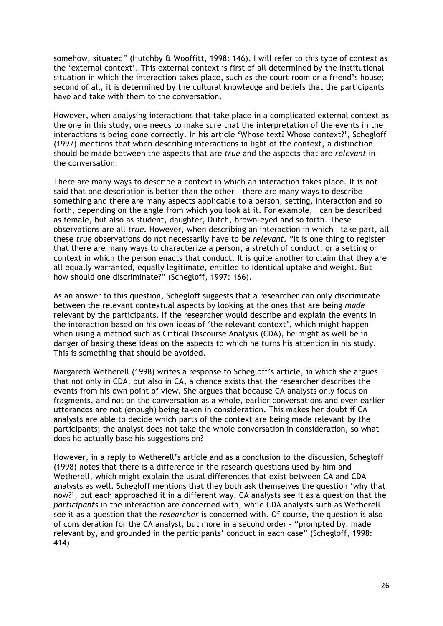somehow, situated" (Hutchby & Wooffitt, 1998: 146). I will refer to this type of context as the 'external context'. This external context is first of all determined by the institutional situation in which the interaction takes place, such as the court room or a friend's house; second of all, it is determined by the cultural knowledge and beliefs that the participants have and take with them to the conversation.

However, when analysing interactions that take place in a complicated external context as the one in this study, one needs to make sure that the interpretation of the events in the interactions is being done correctly. In his article 'Whose text? Whose context?', Schegloff (1997) mentions that when describing interactions in light of the context, a distinction should be made between the aspects that are *true* and the aspects that are *relevant* in the conversation*.* 

There are many ways to describe a context in which an interaction takes place. It is not said that one description is better than the other – there are many ways to describe something and there are many aspects applicable to a person, setting, interaction and so forth, depending on the angle from which you look at it. For example, I can be described as female, but also as student, daughter, Dutch, brown-eyed and so forth. These observations are all *true.* However, when describing an interaction in which I take part, all these *true* observations do not necessarily have to be *relevant.* "It is one thing to register that there are many ways to characterize a person, a stretch of conduct, or a setting or context in which the person enacts that conduct. It is quite another to claim that they are all equally warranted, equally legitimate, entitled to identical uptake and weight. But how should one discriminate?" (Schegloff, 1997: 166).

As an answer to this question, Schegloff suggests that a researcher can only discriminate between the relevant contextual aspects by looking at the ones that are being *made* relevant by the participants. If the researcher would describe and explain the events in the interaction based on his own ideas of 'the relevant context', which might happen when using a method such as Critical Discourse Analysis (CDA), he might as well be in danger of basing these ideas on the aspects to which he turns his attention in his study. This is something that should be avoided.

Margareth Wetherell (1998) writes a response to Schegloff's article, in which she argues that not only in CDA, but also in CA, a chance exists that the researcher describes the events from his own point of view. She argues that because CA analysts only focus on fragments, and not on the conversation as a whole, earlier conversations and even earlier utterances are not (enough) being taken in consideration. This makes her doubt if CA analysts are able to decide which parts of the context are being made relevant by the participants; the analyst does not take the whole conversation in consideration, so what does he actually base his suggestions on?

However, in a reply to Wetherell's article and as a conclusion to the discussion, Schegloff (1998) notes that there is a difference in the research questions used by him and Wetherell, which might explain the usual differences that exist between CA and CDA analysts as well. Schegloff mentions that they both ask themselves the question 'why that now?', but each approached it in a different way. CA analysts see it as a question that the *participants* in the interaction are concerned with, while CDA analysts such as Wetherell see it as a question that the *researcher* is concerned with. Of course, the question is also of consideration for the CA analyst, but more in a second order – "prompted by, made relevant by, and grounded in the participants' conduct in each case" (Schegloff, 1998: 414).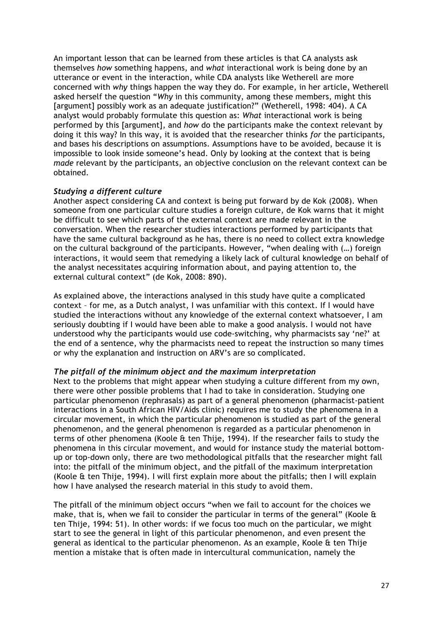An important lesson that can be learned from these articles is that CA analysts ask themselves *how* something happens, and *what* interactional work is being done by an utterance or event in the interaction, while CDA analysts like Wetherell are more concerned with *why* things happen the way they do. For example, in her article, Wetherell asked herself the question "*Why* in this community, among these members, might this [argument] possibly work as an adequate justification?" (Wetherell, 1998: 404). A CA analyst would probably formulate this question as: *What* interactional work is being performed by this [argument], and *how* do the participants make the context relevant by doing it this way? In this way, it is avoided that the researcher thinks *for* the participants, and bases his descriptions on assumptions. Assumptions have to be avoided, because it is impossible to look inside someone's head. Only by looking at the context that is being *made* relevant by the participants, an objective conclusion on the relevant context can be obtained.

# *Studying a different culture*

Another aspect considering CA and context is being put forward by de Kok (2008). When someone from one particular culture studies a foreign culture, de Kok warns that it might be difficult to see which parts of the external context are made relevant in the conversation. When the researcher studies interactions performed by participants that have the same cultural background as he has, there is no need to collect extra knowledge on the cultural background of the participants. However, "when dealing with (…) foreign interactions, it would seem that remedying a likely lack of cultural knowledge on behalf of the analyst necessitates acquiring information about, and paying attention to, the external cultural context" (de Kok, 2008: 890).

As explained above, the interactions analysed in this study have quite a complicated context – for me, as a Dutch analyst, I was unfamiliar with this context. If I would have studied the interactions without any knowledge of the external context whatsoever, I am seriously doubting if I would have been able to make a good analysis. I would not have understood why the participants would use code-switching, why pharmacists say 'ne?' at the end of a sentence, why the pharmacists need to repeat the instruction so many times or why the explanation and instruction on ARV's are so complicated.

#### *The pitfall of the minimum object and the maximum interpretation*

Next to the problems that might appear when studying a culture different from my own, there were other possible problems that I had to take in consideration. Studying one particular phenomenon (rephrasals) as part of a general phenomenon (pharmacist-patient interactions in a South African HIV/Aids clinic) requires me to study the phenomena in a circular movement, in which the particular phenomenon is studied as part of the general phenomenon, and the general phenomenon is regarded as a particular phenomenon in terms of other phenomena (Koole & ten Thije, 1994). If the researcher fails to study the phenomena in this circular movement, and would for instance study the material bottomup or top-down only, there are two methodological pitfalls that the researcher might fall into: the pitfall of the minimum object, and the pitfall of the maximum interpretation (Koole & ten Thije, 1994). I will first explain more about the pitfalls; then I will explain how I have analysed the research material in this study to avoid them.

The pitfall of the minimum object occurs "when we fail to account for the choices we make, that is, when we fail to consider the particular in terms of the general" (Koole & ten Thije, 1994: 51). In other words: if we focus too much on the particular, we might start to see the general in light of this particular phenomenon, and even present the general as identical to the particular phenomenon. As an example, Koole & ten Thije mention a mistake that is often made in intercultural communication, namely the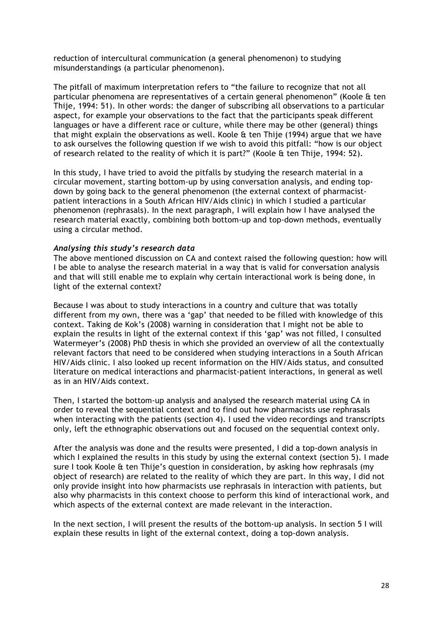reduction of intercultural communication (a general phenomenon) to studying misunderstandings (a particular phenomenon).

The pitfall of maximum interpretation refers to "the failure to recognize that not all particular phenomena are representatives of a certain general phenomenon" (Koole & ten Thije, 1994: 51). In other words: the danger of subscribing all observations to a particular aspect, for example your observations to the fact that the participants speak different languages or have a different race or culture, while there may be other (general) things that might explain the observations as well. Koole & ten Thije (1994) argue that we have to ask ourselves the following question if we wish to avoid this pitfall: "how is our object of research related to the reality of which it is part?" (Koole & ten Thije, 1994: 52).

In this study, I have tried to avoid the pitfalls by studying the research material in a circular movement, starting bottom-up by using conversation analysis, and ending topdown by going back to the general phenomenon (the external context of pharmacistpatient interactions in a South African HIV/Aids clinic) in which I studied a particular phenomenon (rephrasals). In the next paragraph, I will explain how I have analysed the research material exactly, combining both bottom-up and top-down methods, eventually using a circular method.

#### *Analysing this study's research data*

The above mentioned discussion on CA and context raised the following question: how will I be able to analyse the research material in a way that is valid for conversation analysis and that will still enable me to explain why certain interactional work is being done, in light of the external context?

Because I was about to study interactions in a country and culture that was totally different from my own, there was a 'gap' that needed to be filled with knowledge of this context. Taking de Kok's (2008) warning in consideration that I might not be able to explain the results in light of the external context if this 'gap' was not filled, I consulted Watermeyer's (2008) PhD thesis in which she provided an overview of all the contextually relevant factors that need to be considered when studying interactions in a South African HIV/Aids clinic. I also looked up recent information on the HIV/Aids status, and consulted literature on medical interactions and pharmacist-patient interactions, in general as well as in an HIV/Aids context.

Then, I started the bottom-up analysis and analysed the research material using CA in order to reveal the sequential context and to find out how pharmacists use rephrasals when interacting with the patients (section 4). I used the video recordings and transcripts only, left the ethnographic observations out and focused on the sequential context only.

After the analysis was done and the results were presented, I did a top-down analysis in which I explained the results in this study by using the external context (section 5). I made sure I took Koole & ten Thije's question in consideration, by asking how rephrasals (my object of research) are related to the reality of which they are part. In this way, I did not only provide insight into how pharmacists use rephrasals in interaction with patients, but also why pharmacists in this context choose to perform this kind of interactional work, and which aspects of the external context are made relevant in the interaction.

In the next section, I will present the results of the bottom-up analysis. In section 5 I will explain these results in light of the external context, doing a top-down analysis.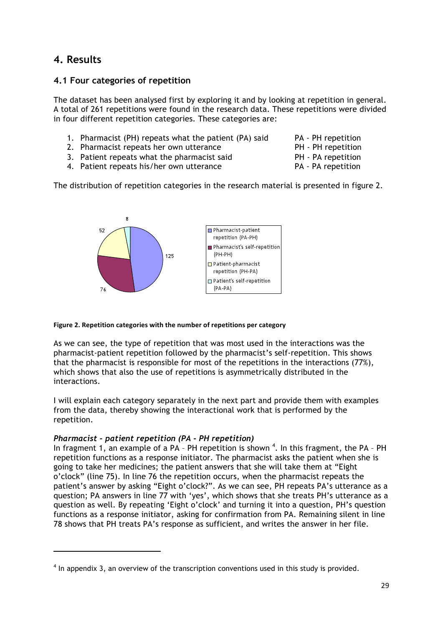# **4. Results**

# **4.1 Four categories of repetition**

The dataset has been analysed first by exploring it and by looking at repetition in general. A total of 261 repetitions were found in the research data. These repetitions were divided in four different repetition categories. These categories are:

- 1. Pharmacist (PH) repeats what the patient (PA) said PA PH repetition
- 2. Pharmacist repeats her own utterance The PH PH repetition
- 3. Patient repeats what the pharmacist said Theorem PH PA repetition
- 4. Patient repeats his/her own utterance The PA PA repetition
- 

The distribution of repetition categories in the research material is presented in figure 2.



#### Figure 2. Repetition categories with the number of repetitions per category

As we can see, the type of repetition that was most used in the interactions was the pharmacist-patient repetition followed by the pharmacist's self-repetition. This shows that the pharmacist is responsible for most of the repetitions in the interactions (77%), which shows that also the use of repetitions is asymmetrically distributed in the interactions.

I will explain each category separately in the next part and provide them with examples from the data, thereby showing the interactional work that is performed by the repetition.

# *Pharmacist - patient repetition (PA - PH repetition)*

!!!!!!!!!!!!!!!!!!!!!!!!!!!!!!!!!!!!!!!!!!!!!!!!!!!!!!!!!!!!

In fragment 1, an example of a PA - PH repetition is shown  $4$ . In this fragment, the PA - PH repetition functions as a response initiator. The pharmacist asks the patient when she is going to take her medicines; the patient answers that she will take them at "Eight o'clock" (line 75). In line 76 the repetition occurs, when the pharmacist repeats the patient's answer by asking "Eight o'clock?". As we can see, PH repeats PA's utterance as a question; PA answers in line 77 with 'yes', which shows that she treats PH's utterance as a question as well. By repeating 'Eight o'clock' and turning it into a question, PH's question functions as a response initiator, asking for confirmation from PA. Remaining silent in line 78 shows that PH treats PA's response as sufficient, and writes the answer in her file.

 $<sup>4</sup>$  In appendix 3, an overview of the transcription conventions used in this study is provided.</sup>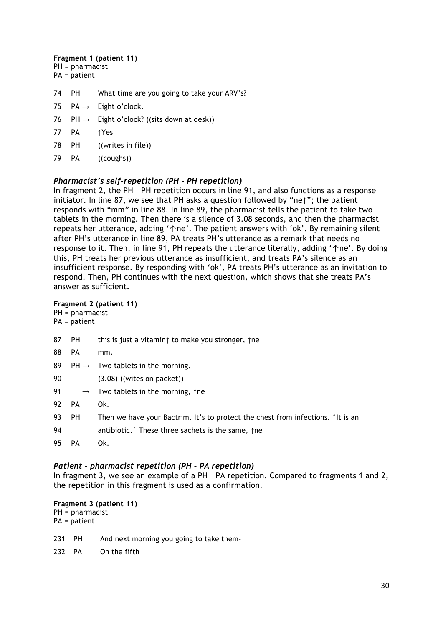# **Fragment 1 (patient 11)** PH = pharmacist

- PA = patient
- 74 PH What time are you going to take your ARV's?
- 75  $PA \rightarrow$  Eight o'clock.
- 76 PH  $\rightarrow$  Eight o'clock? ((sits down at desk))
- 77 PA ↑Yes
- 78 PH ((writes in file))
- 79 PA ((coughs))

# *Pharmacist's self-repetition (PH - PH repetition)*

In fragment 2, the PH – PH repetition occurs in line 91, and also functions as a response initiator. In line 87, we see that PH asks a question followed by "ne↑"; the patient responds with "mm" in line 88. In line 89, the pharmacist tells the patient to take two tablets in the morning. Then there is a silence of 3.08 seconds, and then the pharmacist repeats her utterance, adding '↑ne'. The patient answers with 'ok'. By remaining silent after PH's utterance in line 89, PA treats PH's utterance as a remark that needs no response to it. Then, in line 91, PH repeats the utterance literally, adding '↑ne'. By doing this, PH treats her previous utterance as insufficient, and treats PA's silence as an insufficient response. By responding with 'ok', PA treats PH's utterance as an invitation to respond. Then, PH continues with the next question, which shows that she treats PA's answer as sufficient.

#### **Fragment 2 (patient 11)**

PH = pharmacist PA = patient

| 87 | PH        | this is just a vitamin $\uparrow$ to make you stronger, $\uparrow$ ne          |
|----|-----------|--------------------------------------------------------------------------------|
| 88 | <b>PA</b> | mm.                                                                            |
| 89 |           | $PH \rightarrow$ Two tablets in the morning.                                   |
| 90 |           | $(3.08)$ ((wites on packet))                                                   |
| 91 |           | $\rightarrow$ Two tablets in the morning, $\uparrow$ ne                        |
| 92 | PA        | Ok.                                                                            |
| 93 | <b>PH</b> | Then we have your Bactrim. It's to protect the chest from infections. It is an |
| 94 |           | antibiotic. These three sachets is the same, $\uparrow$ ne                     |
| 95 | <b>PA</b> | Ok.                                                                            |

# *Patient - pharmacist repetition (PH - PA repetition)*

In fragment 3, we see an example of a PH - PA repetition. Compared to fragments 1 and 2, the repetition in this fragment is used as a confirmation.

# **Fragment 3 (patient 11)**

PH = pharmacist PA = patient

231 PH And next morning you going to take them-

232 PA On the fifth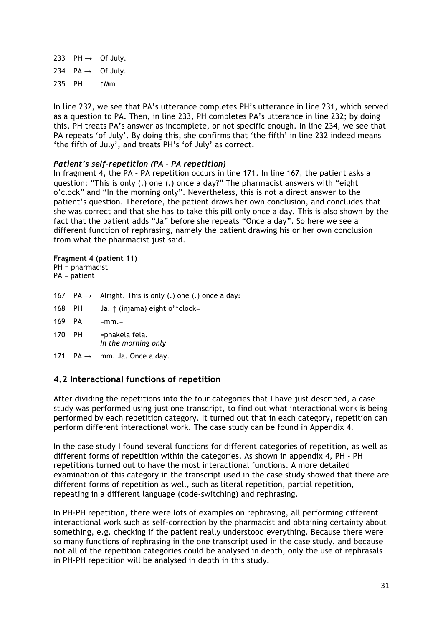233 PH  $\rightarrow$  Of July. 234  $PA \rightarrow$  Of July. 235 PH ↑Mm

In line 232, we see that PA's utterance completes PH's utterance in line 231, which served as a question to PA. Then, in line 233, PH completes PA's utterance in line 232; by doing this, PH treats PA's answer as incomplete, or not specific enough. In line 234, we see that PA repeats 'of July'. By doing this, she confirms that 'the fifth' in line 232 indeed means 'the fifth of July', and treats PH's 'of July' as correct.

# *Patient's self-repetition (PA - PA repetition)*

In fragment 4, the PA – PA repetition occurs in line 171. In line 167, the patient asks a question: "This is only (.) one (.) once a day?" The pharmacist answers with "eight o'clock" and "In the morning only". Nevertheless, this is not a direct answer to the patient's question. Therefore, the patient draws her own conclusion, and concludes that she was correct and that she has to take this pill only once a day. This is also shown by the fact that the patient adds "Ja" before she repeats "Once a day". So here we see a different function of rephrasing, namely the patient drawing his or her own conclusion from what the pharmacist just said.

# **Fragment 4 (patient 11)**

PH = pharmacist PA = patient

- 167 PA  $\rightarrow$  Alright. This is only (.) one (.) once a day?
- 168 PH Ja. ↑ (injama) eight o'↑clock=
- $169$  PA = mm.=
- 170 PH = phakela fela. *In the morning only*
- 171 PA  $\rightarrow$  mm. Ja. Once a day.

# **4.2 Interactional functions of repetition**

After dividing the repetitions into the four categories that I have just described, a case study was performed using just one transcript, to find out what interactional work is being performed by each repetition category. It turned out that in each category, repetition can perform different interactional work. The case study can be found in Appendix 4.

In the case study I found several functions for different categories of repetition, as well as different forms of repetition within the categories. As shown in appendix 4, PH - PH repetitions turned out to have the most interactional functions. A more detailed examination of this category in the transcript used in the case study showed that there are different forms of repetition as well, such as literal repetition, partial repetition, repeating in a different language (code-switching) and rephrasing.

In PH-PH repetition, there were lots of examples on rephrasing, all performing different interactional work such as self-correction by the pharmacist and obtaining certainty about something, e.g. checking if the patient really understood everything. Because there were so many functions of rephrasing in the one transcript used in the case study, and because not all of the repetition categories could be analysed in depth, only the use of rephrasals in PH-PH repetition will be analysed in depth in this study.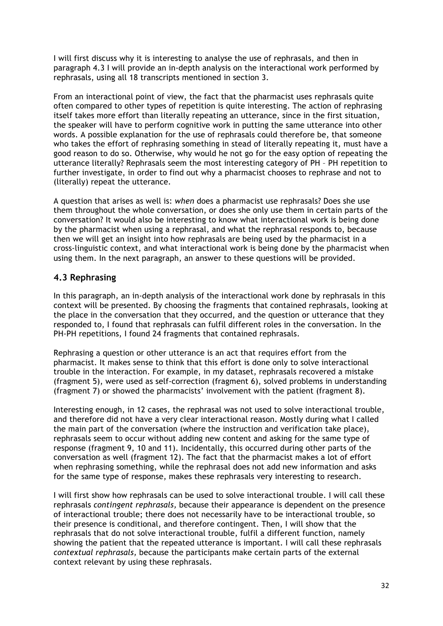I will first discuss why it is interesting to analyse the use of rephrasals, and then in paragraph 4.3 I will provide an in-depth analysis on the interactional work performed by rephrasals, using all 18 transcripts mentioned in section 3.

From an interactional point of view, the fact that the pharmacist uses rephrasals quite often compared to other types of repetition is quite interesting. The action of rephrasing itself takes more effort than literally repeating an utterance, since in the first situation, the speaker will have to perform cognitive work in putting the same utterance into other words. A possible explanation for the use of rephrasals could therefore be, that someone who takes the effort of rephrasing something in stead of literally repeating it, must have a good reason to do so. Otherwise, why would he not go for the easy option of repeating the utterance literally? Rephrasals seem the most interesting category of PH – PH repetition to further investigate, in order to find out why a pharmacist chooses to rephrase and not to (literally) repeat the utterance.

A question that arises as well is: *when* does a pharmacist use rephrasals? Does she use them throughout the whole conversation, or does she only use them in certain parts of the conversation? It would also be interesting to know what interactional work is being done by the pharmacist when using a rephrasal, and what the rephrasal responds to, because then we will get an insight into how rephrasals are being used by the pharmacist in a cross-linguistic context, and what interactional work is being done by the pharmacist when using them. In the next paragraph, an answer to these questions will be provided.

# **4.3 Rephrasing**

In this paragraph, an in-depth analysis of the interactional work done by rephrasals in this context will be presented. By choosing the fragments that contained rephrasals, looking at the place in the conversation that they occurred, and the question or utterance that they responded to, I found that rephrasals can fulfil different roles in the conversation. In the PH-PH repetitions, I found 24 fragments that contained rephrasals.

Rephrasing a question or other utterance is an act that requires effort from the pharmacist. It makes sense to think that this effort is done only to solve interactional trouble in the interaction. For example, in my dataset, rephrasals recovered a mistake (fragment 5), were used as self-correction (fragment 6), solved problems in understanding (fragment 7) or showed the pharmacists' involvement with the patient (fragment 8).

Interesting enough, in 12 cases, the rephrasal was not used to solve interactional trouble, and therefore did not have a very clear interactional reason. Mostly during what I called the main part of the conversation (where the instruction and verification take place), rephrasals seem to occur without adding new content and asking for the same type of response (fragment 9, 10 and 11). Incidentally, this occurred during other parts of the conversation as well (fragment 12). The fact that the pharmacist makes a lot of effort when rephrasing something, while the rephrasal does not add new information and asks for the same type of response, makes these rephrasals very interesting to research.

I will first show how rephrasals can be used to solve interactional trouble. I will call these rephrasals *contingent rephrasals,* because their appearance is dependent on the presence of interactional trouble; there does not necessarily have to be interactional trouble, so their presence is conditional, and therefore contingent. Then, I will show that the rephrasals that do not solve interactional trouble, fulfil a different function, namely showing the patient that the repeated utterance is important. I will call these rephrasals *contextual rephrasals,* because the participants make certain parts of the external context relevant by using these rephrasals.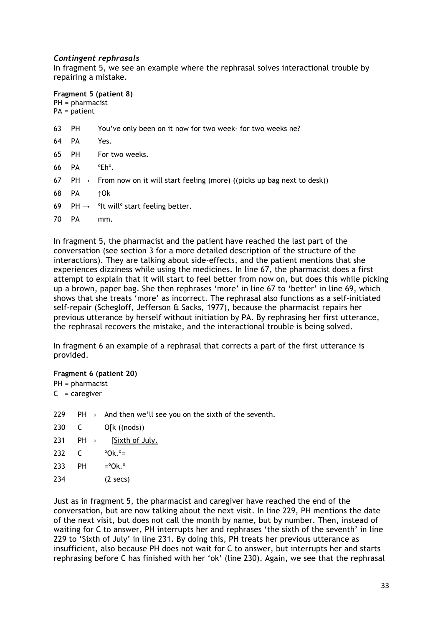#### *Contingent rephrasals*

In fragment 5, we see an example where the rephrasal solves interactional trouble by repairing a mistake.

## **Fragment 5 (patient 8)**

PH = pharmacist

- PA = patient
- 63 PH You've only been on it now for two week- for two weeks ne?
- 64 PA Yes.
- 65 PH For two weeks.
- 66 PA ºEhº.
- 67 PH  $\rightarrow$  From now on it will start feeling (more) ((picks up bag next to desk))
- 68 PA ↑Ok
- 69 PH  $\rightarrow$  °It will° start feeling better.
- 70 PA mm.

In fragment 5, the pharmacist and the patient have reached the last part of the conversation (see section 3 for a more detailed description of the structure of the interactions). They are talking about side-effects, and the patient mentions that she experiences dizziness while using the medicines. In line 67, the pharmacist does a first attempt to explain that it will start to feel better from now on, but does this while picking up a brown, paper bag. She then rephrases 'more' in line 67 to 'better' in line 69, which shows that she treats 'more' as incorrect. The rephrasal also functions as a self-initiated self-repair (Schegloff, Jefferson & Sacks, 1977), because the pharmacist repairs her previous utterance by herself without initiation by PA. By rephrasing her first utterance, the rephrasal recovers the mistake, and the interactional trouble is being solved.

In fragment 6 an example of a rephrasal that corrects a part of the first utterance is provided.

#### **Fragment 6 (patient 20)**

PH = pharmacist  $C =$  caregiver

229 PH  $\rightarrow$  And then we'll see you on the sixth of the seventh.

- 230 C O[k ((nods))
- 231 PH  $\rightarrow$  [Sixth of July.
- 232 C ºOk.º= 233 PH  $=$ <sup>o</sup>Ok.<sup>o</sup> 234 (2 secs)

Just as in fragment 5, the pharmacist and caregiver have reached the end of the conversation, but are now talking about the next visit. In line 229, PH mentions the date of the next visit, but does not call the month by name, but by number. Then, instead of waiting for C to answer, PH interrupts her and rephrases 'the sixth of the seventh' in line 229 to 'Sixth of July' in line 231. By doing this, PH treats her previous utterance as insufficient, also because PH does not wait for C to answer, but interrupts her and starts rephrasing before C has finished with her 'ok' (line 230). Again, we see that the rephrasal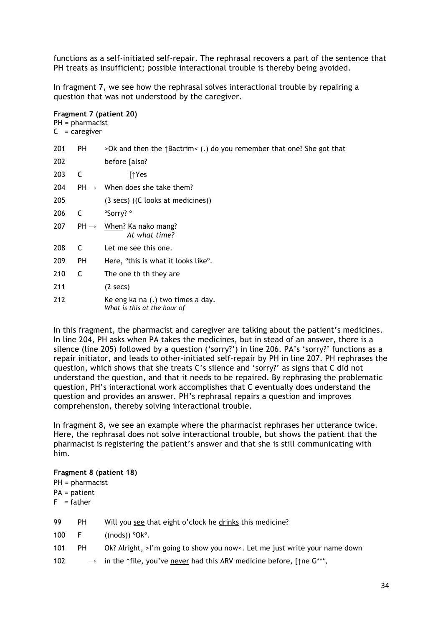functions as a self-initiated self-repair. The rephrasal recovers a part of the sentence that PH treats as insufficient; possible interactional trouble is thereby being avoided.

In fragment 7, we see how the rephrasal solves interactional trouble by repairing a question that was not understood by the caregiver.

# **Fragment 7 (patient 20)** PH = pharmacist  $C = \text{caregiver}$ 201 PH >Ok and then the ↑Bactrim< (.) do you remember that one? She got that 202 before [also? 203 C [↑Yes 204 PH  $\rightarrow$  When does she take them? 205 (3 secs) ((C looks at medicines)) 206 C ºSorry? º 207 PH  $\rightarrow$  When? Ka nako mang?  *At what time?* 208 C Let me see this one. 209 PH Here, <sup>o</sup>this is what it looks like<sup>o</sup>. 210 C The one th th they are 211 (2 secs) 212 Ke eng ka na (.) two times a day. *What is this at the hour of*

In this fragment, the pharmacist and caregiver are talking about the patient's medicines. In line 204, PH asks when PA takes the medicines, but in stead of an answer, there is a silence (line 205) followed by a question ('sorry?') in line 206. PA's 'sorry?' functions as a repair initiator, and leads to other-initiated self-repair by PH in line 207. PH rephrases the question, which shows that she treats C's silence and 'sorry?' as signs that C did not understand the question, and that it needs to be repaired. By rephrasing the problematic question, PH's interactional work accomplishes that C eventually does understand the question and provides an answer. PH's rephrasal repairs a question and improves comprehension, thereby solving interactional trouble.

In fragment 8, we see an example where the pharmacist rephrases her utterance twice. Here, the rephrasal does not solve interactional trouble, but shows the patient that the pharmacist is registering the patient's answer and that she is still communicating with him.

#### **Fragment 8 (patient 18)**

| $1.1$ aguicité o (pacient 197 |           |                                                                                                      |
|-------------------------------|-----------|------------------------------------------------------------------------------------------------------|
| $PH = pharmacist$             |           |                                                                                                      |
| $PA = patient$                |           |                                                                                                      |
| $F = father$                  |           |                                                                                                      |
|                               |           |                                                                                                      |
| 99                            | <b>PH</b> | Will you see that eight o'clock he drinks this medicine?                                             |
| 100                           | F         | $((nodes))$ °Ok°.                                                                                    |
| 101                           | PH.       | Ok? Alright, >I'm going to show you now<. Let me just write your name down                           |
| 102                           |           | $\rightarrow$ in the $\uparrow$ file, you've never had this ARV medicine before, $\uparrow$ ne G***, |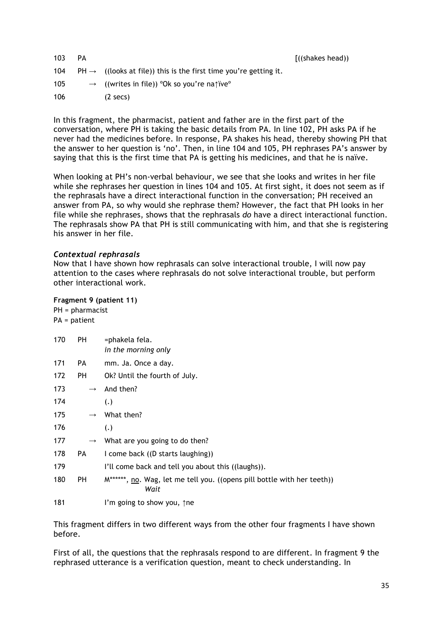| 103 | PА |                                                                              | ((shakes head)) |
|-----|----|------------------------------------------------------------------------------|-----------------|
| 104 |    | $PH \rightarrow$ ((looks at file)) this is the first time you're getting it. |                 |
| 105 |    | $\rightarrow$ ((writes in file)) °Ok so you're na $\uparrow$ ive°            |                 |
| 106 |    | $(2 \text{ secs})$                                                           |                 |

In this fragment, the pharmacist, patient and father are in the first part of the conversation, where PH is taking the basic details from PA. In line 102, PH asks PA if he never had the medicines before. In response, PA shakes his head, thereby showing PH that the answer to her question is 'no'. Then, in line 104 and 105, PH rephrases PA's answer by saying that this is the first time that PA is getting his medicines, and that he is naïve.

When looking at PH's non-verbal behaviour, we see that she looks and writes in her file while she rephrases her question in lines 104 and 105. At first sight, it does not seem as if the rephrasals have a direct interactional function in the conversation; PH received an answer from PA, so why would she rephrase them? However, the fact that PH looks in her file while she rephrases, shows that the rephrasals *do* have a direct interactional function. The rephrasals show PA that PH is still communicating with him, and that she is registering his answer in her file.

# *Contextual rephrasals*

Now that I have shown how rephrasals can solve interactional trouble, I will now pay attention to the cases where rephrasals do not solve interactional trouble, but perform other interactional work.

#### **Fragment 9 (patient 11)**

PH = pharmacist

|     | $PA = patient$ |                                                                                 |
|-----|----------------|---------------------------------------------------------------------------------|
| 170 | PH.            | =phakela fela.<br>in the morning only                                           |
| 171 | PA             | mm. Ja. Once a day.                                                             |
| 172 | PH             | Ok? Until the fourth of July.                                                   |
| 173 | $\rightarrow$  | And then?                                                                       |
| 174 |                | (.)                                                                             |
| 175 |                | What then?                                                                      |
| 176 |                | (.)                                                                             |
| 177 | $\rightarrow$  | What are you going to do then?                                                  |
| 178 | PA             | I come back ((D starts laughing))                                               |
| 179 |                | I'll come back and tell you about this ((laughs)).                              |
| 180 | PH             | M******, no. Wag, let me tell you. ((opens pill bottle with her teeth))<br>Wait |
| 181 |                | I'm going to show you, $\uparrow$ ne                                            |

This fragment differs in two different ways from the other four fragments I have shown before.

First of all, the questions that the rephrasals respond to are different. In fragment 9 the rephrased utterance is a verification question, meant to check understanding. In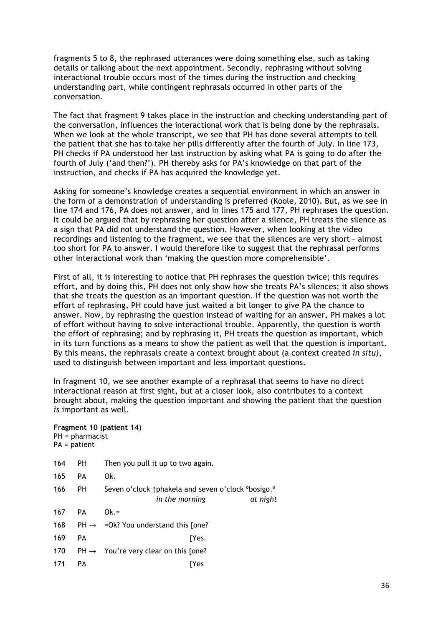fragments 5 to 8, the rephrased utterances were doing something else, such as taking details or talking about the next appointment. Secondly, rephrasing without solving interactional trouble occurs most of the times during the instruction and checking understanding part, while contingent rephrasals occurred in other parts of the conversation.

The fact that fragment 9 takes place in the instruction and checking understanding part of the conversation, influences the interactional work that is being done by the rephrasals. When we look at the whole transcript, we see that PH has done several attempts to tell the patient that she has to take her pills differently after the fourth of July. In line 173, PH checks if PA understood her last instruction by asking what PA is going to do after the fourth of July ('and then?'). PH thereby asks for PA's knowledge on that part of the instruction, and checks if PA has acquired the knowledge yet.

Asking for someone's knowledge creates a sequential environment in which an answer in the form of a demonstration of understanding is preferred (Koole, 2010). But, as we see in line 174 and 176, PA does not answer, and in lines 175 and 177, PH rephrases the question. It could be argued that by rephrasing her question after a silence, PH treats the silence as a sign that PA did not understand the question. However, when looking at the video recordings and listening to the fragment, we see that the silences are very short – almost too short for PA to answer. I would therefore like to suggest that the rephrasal performs other interactional work than 'making the question more comprehensible'.

First of all, it is interesting to notice that PH rephrases the question twice; this requires effort, and by doing this, PH does not only show how she treats PA's silences; it also shows that she treats the question as an important question. If the question was not worth the effort of rephrasing, PH could have just waited a bit longer to give PA the chance to answer. Now, by rephrasing the question instead of waiting for an answer, PH makes a lot of effort without having to solve interactional trouble. Apparently, the question is worth the effort of rephrasing; and by rephrasing it, PH treats the question as important, which in its turn functions as a means to show the patient as well that the question is important. By this means, the rephrasals create a context brought about (a context created *in situ)*, used to distinguish between important and less important questions.

In fragment 10, we see another example of a rephrasal that seems to have no direct interactional reason at first sight, but at a closer look, also contributes to a context brought about, making the question important and showing the patient that the question *is* important as well.

#### **Fragment 10 (patient 14)**

|     | $PH = pharmacist$<br>$PA = patient$ |                                                                                       |
|-----|-------------------------------------|---------------------------------------------------------------------------------------|
| 164 | PH                                  | Then you pull it up to two again.                                                     |
| 165 | <b>PA</b>                           | Ok.                                                                                   |
| 166 | PH.                                 | Seven o'clock phakela and seven o'clock <i>bosigo</i> .<br>in the morning<br>at night |
| 167 | PA                                  | $Ok =$                                                                                |
| 168 |                                     | $PH \rightarrow =OK?$ You understand this [one?                                       |
| 169 | PA                                  | [Yes.                                                                                 |
| 170 |                                     | $PH \rightarrow$ You're very clear on this [one?                                      |
| 171 | <b>PA</b>                           | [Yes                                                                                  |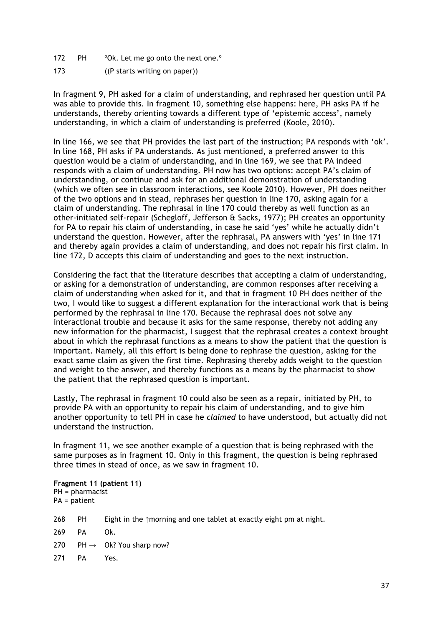- 172 PH <sup>o</sup>Ok. Let me go onto the next one.<sup>o</sup>
- 173 ((P starts writing on paper))

In fragment 9, PH asked for a claim of understanding, and rephrased her question until PA was able to provide this. In fragment 10, something else happens: here, PH asks PA if he understands, thereby orienting towards a different type of 'epistemic access', namely understanding, in which a claim of understanding is preferred (Koole, 2010).

In line 166, we see that PH provides the last part of the instruction; PA responds with 'ok'. In line 168, PH asks if PA understands. As just mentioned, a preferred answer to this question would be a claim of understanding, and in line 169, we see that PA indeed responds with a claim of understanding. PH now has two options: accept PA's claim of understanding, or continue and ask for an additional demonstration of understanding (which we often see in classroom interactions, see Koole 2010). However, PH does neither of the two options and in stead, rephrases her question in line 170, asking again for a claim of understanding. The rephrasal in line 170 could thereby as well function as an other-initiated self-repair (Schegloff, Jefferson & Sacks, 1977); PH creates an opportunity for PA to repair his claim of understanding, in case he said 'yes' while he actually didn't understand the question. However, after the rephrasal, PA answers with 'yes' in line 171 and thereby again provides a claim of understanding, and does not repair his first claim. In line 172, D accepts this claim of understanding and goes to the next instruction.

Considering the fact that the literature describes that accepting a claim of understanding, or asking for a demonstration of understanding, are common responses after receiving a claim of understanding when asked for it, and that in fragment 10 PH does neither of the two, I would like to suggest a different explanation for the interactional work that is being performed by the rephrasal in line 170. Because the rephrasal does not solve any interactional trouble and because it asks for the same response, thereby not adding any new information for the pharmacist, I suggest that the rephrasal creates a context brought about in which the rephrasal functions as a means to show the patient that the question is important. Namely, all this effort is being done to rephrase the question, asking for the exact same claim as given the first time. Rephrasing thereby adds weight to the question and weight to the answer, and thereby functions as a means by the pharmacist to show the patient that the rephrased question is important.

Lastly, The rephrasal in fragment 10 could also be seen as a repair, initiated by PH, to provide PA with an opportunity to repair his claim of understanding, and to give him another opportunity to tell PH in case he *claimed* to have understood, but actually did not understand the instruction.

In fragment 11, we see another example of a question that is being rephrased with the same purposes as in fragment 10. Only in this fragment, the question is being rephrased three times in stead of once, as we saw in fragment 10.

**Fragment 11 (patient 11)** PH = pharmacist PA = patient

- 268 PH Eight in the ↑morning and one tablet at exactly eight pm at night.
- 269 PA Ok.
- 270 PH  $\rightarrow$  Ok? You sharp now?
- 271 PA Yes.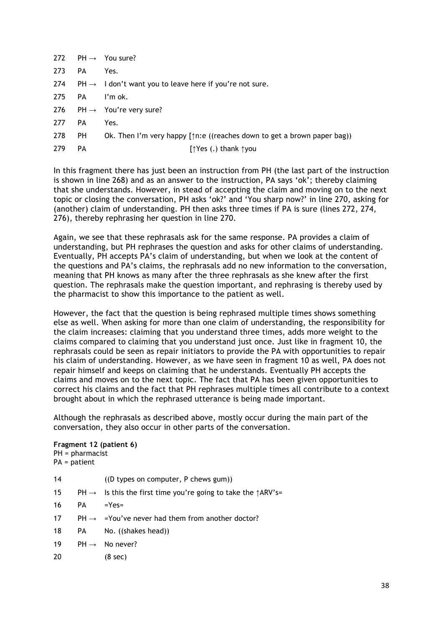|        |    | 272 PH $\rightarrow$ You sure?                                                     |
|--------|----|------------------------------------------------------------------------------------|
| 273    | PA | Yes.                                                                               |
|        |    | 274 PH $\rightarrow$ 1 don't want you to leave here if you're not sure.            |
| 275 PA |    | I'm ok.                                                                            |
|        |    | 276 PH $\rightarrow$ You're very sure?                                             |
| 277    | PA | Yes.                                                                               |
| 278    | PH | Ok. Then I'm very happy $[\uparrow n: e$ ((reaches down to get a brown paper bag)) |
| 279    | PA | [↑Yes (.) thank ↑you                                                               |
|        |    |                                                                                    |

In this fragment there has just been an instruction from PH (the last part of the instruction is shown in line 268) and as an answer to the instruction, PA says 'ok'; thereby claiming that she understands. However, in stead of accepting the claim and moving on to the next topic or closing the conversation, PH asks 'ok?' and 'You sharp now?' in line 270, asking for (another) claim of understanding. PH then asks three times if PA is sure (lines 272, 274, 276), thereby rephrasing her question in line 270.

Again, we see that these rephrasals ask for the same response. PA provides a claim of understanding, but PH rephrases the question and asks for other claims of understanding. Eventually, PH accepts PA's claim of understanding, but when we look at the content of the questions and PA's claims, the rephrasals add no new information to the conversation, meaning that PH knows as many after the three rephrasals as she knew after the first question. The rephrasals make the question important, and rephrasing is thereby used by the pharmacist to show this importance to the patient as well.

However, the fact that the question is being rephrased multiple times shows something else as well. When asking for more than one claim of understanding, the responsibility for the claim increases: claiming that you understand three times, adds more weight to the claims compared to claiming that you understand just once. Just like in fragment 10, the rephrasals could be seen as repair initiators to provide the PA with opportunities to repair his claim of understanding. However, as we have seen in fragment 10 as well, PA does not repair himself and keeps on claiming that he understands. Eventually PH accepts the claims and moves on to the next topic. The fact that PA has been given opportunities to correct his claims and the fact that PH rephrases multiple times all contribute to a context brought about in which the rephrased utterance is being made important.

Although the rephrasals as described above, mostly occur during the main part of the conversation, they also occur in other parts of the conversation.

#### **Fragment 12 (patient 6)**  $PH = **pharmacist**$

|    | $PA = patient$ |                                                                                    |
|----|----------------|------------------------------------------------------------------------------------|
| 14 |                | ((D types on computer, P chemys gum))                                              |
| 15 |                | $PH \rightarrow$ Is this the first time you're going to take the $\uparrow$ ARV's= |
| 16 |                | $PA = Yes =$                                                                       |
| 17 |                | $PH \rightarrow$ =You've never had them from another doctor?                       |
| 18 |                | PA No. ((shakes head))                                                             |
| 19 |                | $PH \rightarrow$ No never?                                                         |
| 20 |                | $(8 \text{ sec})$                                                                  |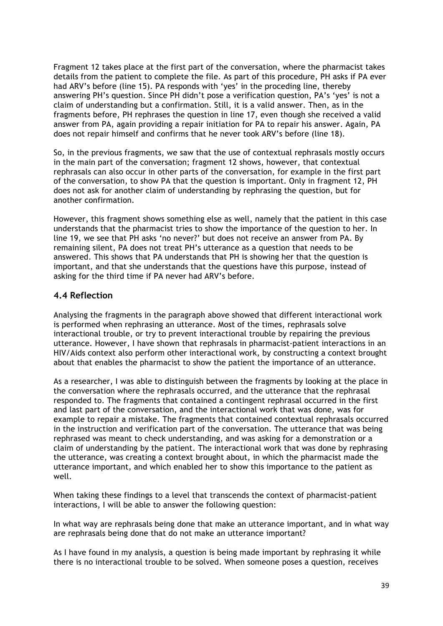Fragment 12 takes place at the first part of the conversation, where the pharmacist takes details from the patient to complete the file. As part of this procedure, PH asks if PA ever had ARV's before (line 15). PA responds with 'yes' in the proceding line, thereby answering PH's question. Since PH didn't pose a verification question, PA's 'yes' is not a claim of understanding but a confirmation. Still, it is a valid answer. Then, as in the fragments before, PH rephrases the question in line 17, even though she received a valid answer from PA, again providing a repair initiation for PA to repair his answer. Again, PA does not repair himself and confirms that he never took ARV's before (line 18).

So, in the previous fragments, we saw that the use of contextual rephrasals mostly occurs in the main part of the conversation; fragment 12 shows, however, that contextual rephrasals can also occur in other parts of the conversation, for example in the first part of the conversation, to show PA that the question is important. Only in fragment 12, PH does not ask for another claim of understanding by rephrasing the question, but for another confirmation.

However, this fragment shows something else as well, namely that the patient in this case understands that the pharmacist tries to show the importance of the question to her. In line 19, we see that PH asks 'no never?' but does not receive an answer from PA. By remaining silent, PA does not treat PH's utterance as a question that needs to be answered. This shows that PA understands that PH is showing her that the question is important, and that she understands that the questions have this purpose, instead of asking for the third time if PA never had ARV's before.

# **4.4 Reflection**

Analysing the fragments in the paragraph above showed that different interactional work is performed when rephrasing an utterance. Most of the times, rephrasals solve interactional trouble, or try to prevent interactional trouble by repairing the previous utterance. However, I have shown that rephrasals in pharmacist-patient interactions in an HIV/Aids context also perform other interactional work, by constructing a context brought about that enables the pharmacist to show the patient the importance of an utterance.

As a researcher, I was able to distinguish between the fragments by looking at the place in the conversation where the rephrasals occurred, and the utterance that the rephrasal responded to. The fragments that contained a contingent rephrasal occurred in the first and last part of the conversation, and the interactional work that was done, was for example to repair a mistake. The fragments that contained contextual rephrasals occurred in the instruction and verification part of the conversation. The utterance that was being rephrased was meant to check understanding, and was asking for a demonstration or a claim of understanding by the patient. The interactional work that was done by rephrasing the utterance, was creating a context brought about, in which the pharmacist made the utterance important, and which enabled her to show this importance to the patient as well.

When taking these findings to a level that transcends the context of pharmacist-patient interactions, I will be able to answer the following question:

In what way are rephrasals being done that make an utterance important, and in what way are rephrasals being done that do not make an utterance important?

As I have found in my analysis, a question is being made important by rephrasing it while there is no interactional trouble to be solved. When someone poses a question, receives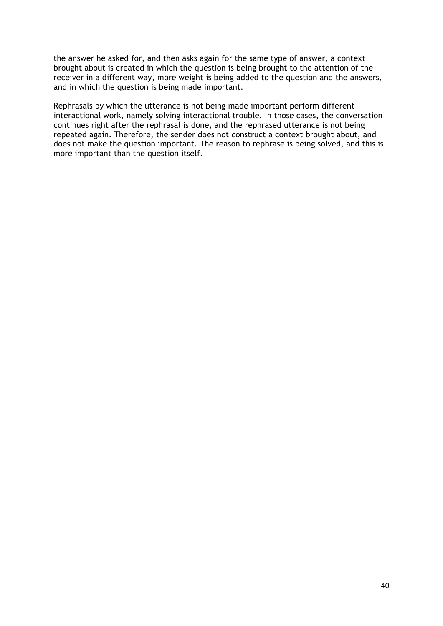the answer he asked for, and then asks again for the same type of answer, a context brought about is created in which the question is being brought to the attention of the receiver in a different way, more weight is being added to the question and the answers, and in which the question is being made important.

Rephrasals by which the utterance is not being made important perform different interactional work, namely solving interactional trouble. In those cases, the conversation continues right after the rephrasal is done, and the rephrased utterance is not being repeated again. Therefore, the sender does not construct a context brought about, and does not make the question important. The reason to rephrase is being solved, and this is more important than the question itself.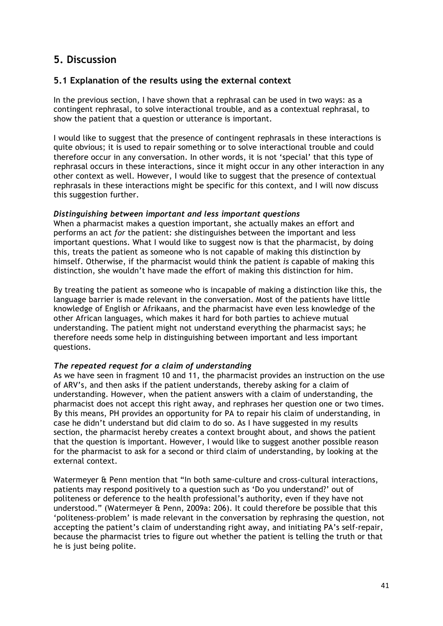# **5. Discussion**

# **5.1 Explanation of the results using the external context**

In the previous section, I have shown that a rephrasal can be used in two ways: as a contingent rephrasal, to solve interactional trouble, and as a contextual rephrasal, to show the patient that a question or utterance is important.

I would like to suggest that the presence of contingent rephrasals in these interactions is quite obvious; it is used to repair something or to solve interactional trouble and could therefore occur in any conversation. In other words, it is not 'special' that this type of rephrasal occurs in these interactions, since it might occur in any other interaction in any other context as well. However, I would like to suggest that the presence of contextual rephrasals in these interactions might be specific for this context, and I will now discuss this suggestion further.

# *Distinguishing between important and less important questions*

When a pharmacist makes a question important, she actually makes an effort and performs an act *for* the patient: she distinguishes between the important and less important questions. What I would like to suggest now is that the pharmacist, by doing this, treats the patient as someone who is not capable of making this distinction by himself. Otherwise, if the pharmacist would think the patient *is* capable of making this distinction, she wouldn't have made the effort of making this distinction for him.

By treating the patient as someone who is incapable of making a distinction like this, the language barrier is made relevant in the conversation. Most of the patients have little knowledge of English or Afrikaans, and the pharmacist have even less knowledge of the other African languages, which makes it hard for both parties to achieve mutual understanding. The patient might not understand everything the pharmacist says; he therefore needs some help in distinguishing between important and less important questions.

# *The repeated request for a claim of understanding*

As we have seen in fragment 10 and 11, the pharmacist provides an instruction on the use of ARV's, and then asks if the patient understands, thereby asking for a claim of understanding. However, when the patient answers with a claim of understanding, the pharmacist does not accept this right away, and rephrases her question one or two times. By this means, PH provides an opportunity for PA to repair his claim of understanding, in case he didn't understand but did claim to do so. As I have suggested in my results section, the pharmacist hereby creates a context brought about, and shows the patient that the question is important. However, I would like to suggest another possible reason for the pharmacist to ask for a second or third claim of understanding, by looking at the external context.

Watermeyer & Penn mention that "In both same-culture and cross-cultural interactions, patients may respond positively to a question such as 'Do you understand?' out of politeness or deference to the health professional's authority, even if they have not understood." (Watermeyer & Penn, 2009a: 206). It could therefore be possible that this 'politeness-problem' is made relevant in the conversation by rephrasing the question, not accepting the patient's claim of understanding right away, and initiating PA's self-repair, because the pharmacist tries to figure out whether the patient is telling the truth or that he is just being polite.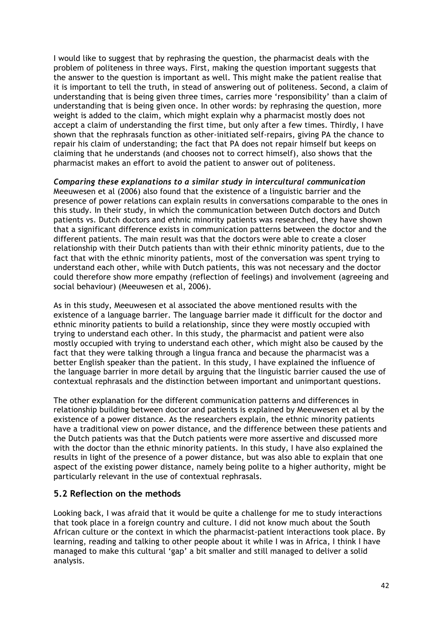I would like to suggest that by rephrasing the question, the pharmacist deals with the problem of politeness in three ways. First, making the question important suggests that the answer to the question is important as well. This might make the patient realise that it is important to tell the truth, in stead of answering out of politeness. Second, a claim of understanding that is being given three times, carries more 'responsibility' than a claim of understanding that is being given once. In other words: by rephrasing the question, more weight is added to the claim, which might explain why a pharmacist mostly does not accept a claim of understanding the first time, but only after a few times. Thirdly, I have shown that the rephrasals function as other-initiated self-repairs, giving PA the chance to repair his claim of understanding; the fact that PA does not repair himself but keeps on claiming that he understands (and chooses not to correct himself), also shows that the pharmacist makes an effort to avoid the patient to answer out of politeness.

*Comparing these explanations to a similar study in intercultural communication* Meeuwesen et al (2006) also found that the existence of a linguistic barrier and the presence of power relations can explain results in conversations comparable to the ones in this study. In their study, in which the communication between Dutch doctors and Dutch patients vs. Dutch doctors and ethnic minority patients was researched, they have shown that a significant difference exists in communication patterns between the doctor and the different patients. The main result was that the doctors were able to create a closer relationship with their Dutch patients than with their ethnic minority patients, due to the fact that with the ethnic minority patients, most of the conversation was spent trying to understand each other, while with Dutch patients, this was not necessary and the doctor could therefore show more empathy (reflection of feelings) and involvement (agreeing and social behaviour) (Meeuwesen et al, 2006).

As in this study, Meeuwesen et al associated the above mentioned results with the existence of a language barrier. The language barrier made it difficult for the doctor and ethnic minority patients to build a relationship, since they were mostly occupied with trying to understand each other. In this study, the pharmacist and patient were also mostly occupied with trying to understand each other, which might also be caused by the fact that they were talking through a lingua franca and because the pharmacist was a better English speaker than the patient. In this study, I have explained the influence of the language barrier in more detail by arguing that the linguistic barrier caused the use of contextual rephrasals and the distinction between important and unimportant questions.

The other explanation for the different communication patterns and differences in relationship building between doctor and patients is explained by Meeuwesen et al by the existence of a power distance. As the researchers explain, the ethnic minority patients have a traditional view on power distance, and the difference between these patients and the Dutch patients was that the Dutch patients were more assertive and discussed more with the doctor than the ethnic minority patients. In this study, I have also explained the results in light of the presence of a power distance, but was also able to explain that one aspect of the existing power distance, namely being polite to a higher authority, might be particularly relevant in the use of contextual rephrasals.

# **5.2 Reflection on the methods**

Looking back, I was afraid that it would be quite a challenge for me to study interactions that took place in a foreign country and culture. I did not know much about the South African culture or the context in which the pharmacist-patient interactions took place. By learning, reading and talking to other people about it while I was in Africa, I think I have managed to make this cultural 'gap' a bit smaller and still managed to deliver a solid analysis.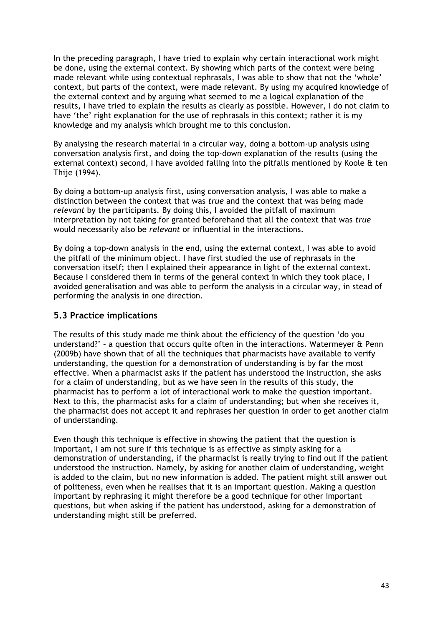In the preceding paragraph, I have tried to explain why certain interactional work might be done, using the external context. By showing which parts of the context were being made relevant while using contextual rephrasals, I was able to show that not the 'whole' context, but parts of the context, were made relevant. By using my acquired knowledge of the external context and by arguing what seemed to me a logical explanation of the results, I have tried to explain the results as clearly as possible. However, I do not claim to have 'the' right explanation for the use of rephrasals in this context; rather it is my knowledge and my analysis which brought me to this conclusion.

By analysing the research material in a circular way, doing a bottom-up analysis using conversation analysis first, and doing the top-down explanation of the results (using the external context) second, I have avoided falling into the pitfalls mentioned by Koole & ten Thije (1994).

By doing a bottom-up analysis first, using conversation analysis, I was able to make a distinction between the context that was *true* and the context that was being made *relevant* by the participants*.* By doing this, I avoided the pitfall of maximum interpretation by not taking for granted beforehand that all the context that was *true*  would necessarily also be *relevant* or influential in the interactions.

By doing a top-down analysis in the end, using the external context, I was able to avoid the pitfall of the minimum object. I have first studied the use of rephrasals in the conversation itself; then I explained their appearance in light of the external context. Because I considered them in terms of the general context in which they took place, I avoided generalisation and was able to perform the analysis in a circular way, in stead of performing the analysis in one direction.

# **5.3 Practice implications**

The results of this study made me think about the efficiency of the question 'do you understand?' – a question that occurs quite often in the interactions. Watermeyer & Penn (2009b) have shown that of all the techniques that pharmacists have available to verify understanding, the question for a demonstration of understanding is by far the most effective. When a pharmacist asks if the patient has understood the instruction, she asks for a claim of understanding, but as we have seen in the results of this study, the pharmacist has to perform a lot of interactional work to make the question important. Next to this, the pharmacist asks for a claim of understanding; but when she receives it, the pharmacist does not accept it and rephrases her question in order to get another claim of understanding.

Even though this technique is effective in showing the patient that the question is important, I am not sure if this technique is as effective as simply asking for a demonstration of understanding, if the pharmacist is really trying to find out if the patient understood the instruction. Namely, by asking for another claim of understanding, weight is added to the claim, but no new information is added. The patient might still answer out of politeness, even when he realises that it is an important question. Making a question important by rephrasing it might therefore be a good technique for other important questions, but when asking if the patient has understood, asking for a demonstration of understanding might still be preferred.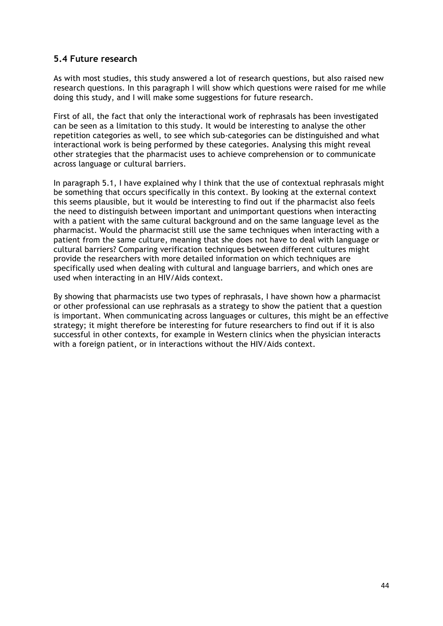# **5.4 Future research**

As with most studies, this study answered a lot of research questions, but also raised new research questions. In this paragraph I will show which questions were raised for me while doing this study, and I will make some suggestions for future research.

First of all, the fact that only the interactional work of rephrasals has been investigated can be seen as a limitation to this study. It would be interesting to analyse the other repetition categories as well, to see which sub-categories can be distinguished and what interactional work is being performed by these categories. Analysing this might reveal other strategies that the pharmacist uses to achieve comprehension or to communicate across language or cultural barriers.

In paragraph 5.1, I have explained why I think that the use of contextual rephrasals might be something that occurs specifically in this context. By looking at the external context this seems plausible, but it would be interesting to find out if the pharmacist also feels the need to distinguish between important and unimportant questions when interacting with a patient with the same cultural background and on the same language level as the pharmacist. Would the pharmacist still use the same techniques when interacting with a patient from the same culture, meaning that she does not have to deal with language or cultural barriers? Comparing verification techniques between different cultures might provide the researchers with more detailed information on which techniques are specifically used when dealing with cultural and language barriers, and which ones are used when interacting in an HIV/Aids context.

By showing that pharmacists use two types of rephrasals, I have shown how a pharmacist or other professional can use rephrasals as a strategy to show the patient that a question is important. When communicating across languages or cultures, this might be an effective strategy; it might therefore be interesting for future researchers to find out if it is also successful in other contexts, for example in Western clinics when the physician interacts with a foreign patient, or in interactions without the HIV/Aids context.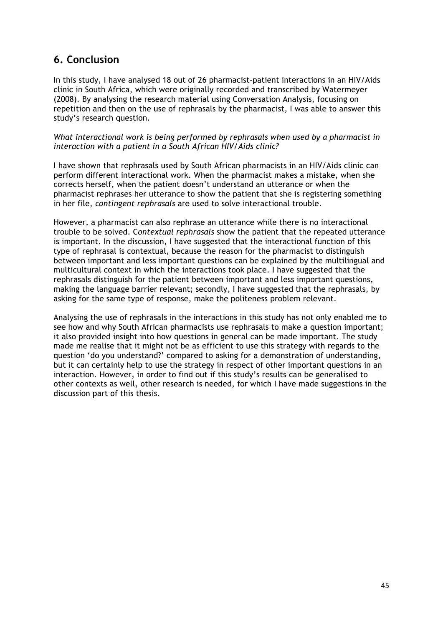# **6. Conclusion**

In this study, I have analysed 18 out of 26 pharmacist-patient interactions in an HIV/Aids clinic in South Africa, which were originally recorded and transcribed by Watermeyer (2008). By analysing the research material using Conversation Analysis, focusing on repetition and then on the use of rephrasals by the pharmacist, I was able to answer this study's research question.

*What interactional work is being performed by rephrasals when used by a pharmacist in interaction with a patient in a South African HIV/Aids clinic?* 

I have shown that rephrasals used by South African pharmacists in an HIV/Aids clinic can perform different interactional work. When the pharmacist makes a mistake, when she corrects herself, when the patient doesn't understand an utterance or when the pharmacist rephrases her utterance to show the patient that she is registering something in her file, *contingent rephrasals* are used to solve interactional trouble.

However, a pharmacist can also rephrase an utterance while there is no interactional trouble to be solved. C*ontextual rephrasals* show the patient that the repeated utterance is important. In the discussion, I have suggested that the interactional function of this type of rephrasal is contextual, because the reason for the pharmacist to distinguish between important and less important questions can be explained by the multilingual and multicultural context in which the interactions took place. I have suggested that the rephrasals distinguish for the patient between important and less important questions, making the language barrier relevant; secondly, I have suggested that the rephrasals, by asking for the same type of response, make the politeness problem relevant.

Analysing the use of rephrasals in the interactions in this study has not only enabled me to see how and why South African pharmacists use rephrasals to make a question important; it also provided insight into how questions in general can be made important. The study made me realise that it might not be as efficient to use this strategy with regards to the question 'do you understand?' compared to asking for a demonstration of understanding, but it can certainly help to use the strategy in respect of other important questions in an interaction. However, in order to find out if this study's results can be generalised to other contexts as well, other research is needed, for which I have made suggestions in the discussion part of this thesis.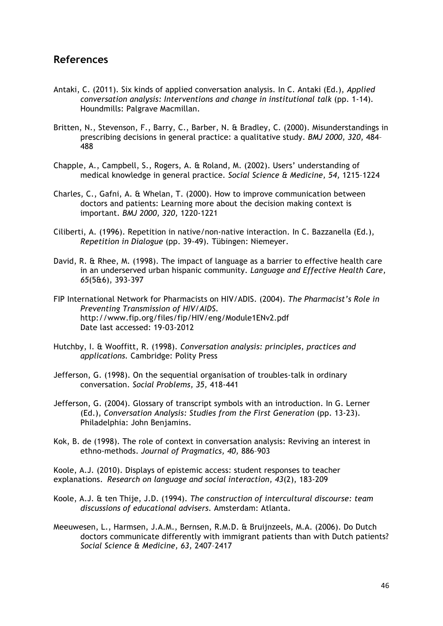# **References**

- Antaki, C. (2011). Six kinds of applied conversation analysis. In C. Antaki (Ed.), *Applied conversation analysis: Interventions and change in institutional talk* (pp. 1-14)*.*  Houndmills: Palgrave Macmillan.
- Britten, N., Stevenson, F., Barry, C., Barber, N. & Bradley, C*.* (2000). Misunderstandings in prescribing decisions in general practice: a qualitative study. *BMJ 2000, 320,* 484– 488
- Chapple, A., Campbell, S., Rogers, A. & Roland, M. (2002). Users' understanding of medical knowledge in general practice*. Social Science & Medicine, 54,* 1215–1224
- Charles, C., Gafni, A. & Whelan, T. (2000). How to improve communication between doctors and patients: Learning more about the decision making context is important. *BMJ 2000, 320,* 1220-1221
- Ciliberti, A. (1996). Repetition in native/non-native interaction. In C. Bazzanella (Ed.), *Repetition in Dialogue* (pp. 39-49)*.* Tübingen: Niemeyer.
- David, R. & Rhee, M. (1998). The impact of language as a barrier to effective health care in an underserved urban hispanic community. *Language and Effective Health Care, 65*(5&6), 393-397
- FIP International Network for Pharmacists on HIV/ADIS. (2004). *The Pharmacist's Role in Preventing Transmission of HIV/AIDS.*  http://www.fip.org/files/fip/HIV/eng/Module1ENv2.pdf Date last accessed: 19-03-2012
- Hutchby, I. & Wooffitt, R. (1998). *Conversation analysis: principles, practices and applications.* Cambridge: Polity Press
- Jefferson, G. (1998). On the sequential organisation of troubles-talk in ordinary conversation. *Social Problems, 35,* 418-441
- Jefferson, G. (2004). Glossary of transcript symbols with an introduction. In G. Lerner (Ed.), *Conversation Analysis: Studies from the First Generation* (pp. 13-23)*.*  Philadelphia: John Benjamins.
- Kok, B. de (1998). The role of context in conversation analysis: Reviving an interest in ethno-methods. *Journal of Pragmatics, 40,* 886–903

Koole, A.J. (2010). Displays of epistemic access: student responses to teacher explanations. *Research on language and social interaction, 43*(2), 183-209

- Koole, A.J. & ten Thije, J.D. (1994). *The construction of intercultural discourse: team discussions of educational advisers.* Amsterdam: Atlanta.
- Meeuwesen, L., Harmsen, J.A.M., Bernsen, R.M.D. & Bruijnzeels, M.A. (2006). Do Dutch doctors communicate differently with immigrant patients than with Dutch patients? *Social Science & Medicine, 63,* 2407–2417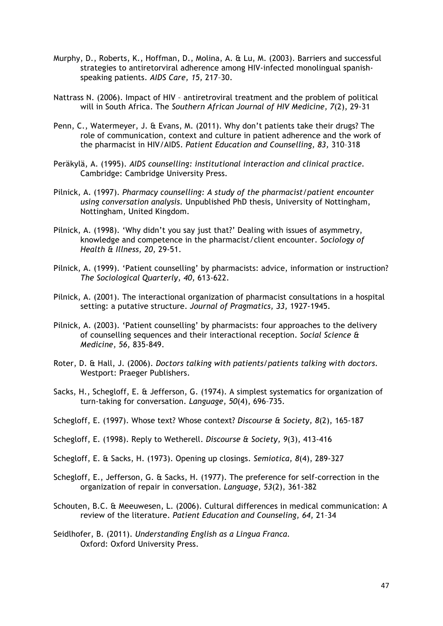- Murphy, D., Roberts, K., Hoffman, D., Molina, A. & Lu, M. (2003). Barriers and successful strategies to antiretorviral adherence among HIV-infected monolingual spanishspeaking patients. *AIDS Care, 15,* 217–30.
- Nattrass N. (2006). Impact of HIV antiretroviral treatment and the problem of political will in South Africa. The *Southern African Journal of HIV Medicine, 7*(2), 29-31
- Penn, C., Watermeyer, J. & Evans, M. (2011). Why don't patients take their drugs? The role of communication, context and culture in patient adherence and the work of the pharmacist in HIV/AIDS. *Patient Education and Counselling, 83,* 310–318
- Peräkylä, A. (1995). *AIDS counselling: institutional interaction and clinical practice.*  Cambridge: Cambridge University Press.
- Pilnick, A. (1997). *Pharmacy counselling: A study of the pharmacist/patient encounter using conversation analysis.* Unpublished PhD thesis, University of Nottingham, Nottingham, United Kingdom.
- Pilnick, A. (1998). 'Why didn't you say just that?' Dealing with issues of asymmetry, knowledge and competence in the pharmacist/client encounter. *Sociology of Health & Illness, 20,* 29-51.
- Pilnick, A. (1999). 'Patient counselling' by pharmacists: advice, information or instruction? *The Sociological Quarterly, 40,* 613-622.
- Pilnick, A. (2001). The interactional organization of pharmacist consultations in a hospital setting: a putative structure. *Journal of Pragmatics, 33,* 1927-1945.
- Pilnick, A. (2003). 'Patient counselling' by pharmacists: four approaches to the delivery of counselling sequences and their interactional reception. *Social Science & Medicine, 56,* 835-849.
- Roter, D. & Hall, J. (2006). *Doctors talking with patients/patients talking with doctors.*  Westport: Praeger Publishers.
- Sacks, H., Schegloff, E. & Jefferson, G. (1974). A simplest systematics for organization of turn-taking for conversation. *Language, 50*(4), 696–735.
- Schegloff, E. (1997). Whose text? Whose context? *Discourse & Society, 8*(2), 165-187
- Schegloff, E. (1998). Reply to Wetherell. *Discourse & Society, 9*(3), 413-416
- Schegloff, E. & Sacks, H. (1973). Opening up closings. *Semiotica, 8*(4), 289-327
- Schegloff, E., Jefferson, G. & Sacks, H. (1977). The preference for self-correction in the organization of repair in conversation. *Language, 53*(2), 361-382
- Schouten, B.C. & Meeuwesen, L. (2006). Cultural differences in medical communication: A review of the literature. *Patient Education and Counseling, 64,* 21–34
- Seidlhofer, B. (2011). *Understanding English as a Lingua Franca.*  Oxford: Oxford University Press.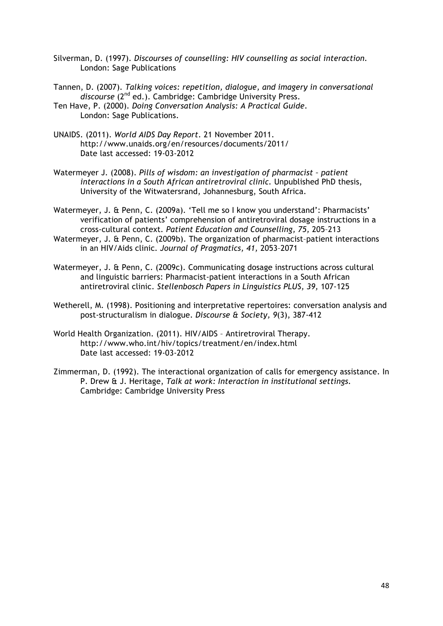- Silverman, D. (1997). *Discourses of counselling: HIV counselling as social interaction.*  London: Sage Publications
- Tannen, D. (2007). *Talking voices: repetition, dialogue, and imagery in conversational*  discourse (2<sup>nd</sup> ed.). Cambridge: Cambridge University Press.
- Ten Have, P. (2000). *Doing Conversation Analysis: A Practical Guide*. London: Sage Publications.
- UNAIDS. (2011). *World AIDS Day Report*. 21 November 2011. http://www.unaids.org/en/resources/documents/2011/ Date last accessed: 19-03-2012
- Watermeyer J. (2008). *Pills of wisdom: an investigation of pharmacist patient interactions in a South African antiretroviral clinic.* Unpublished PhD thesis, University of the Witwatersrand, Johannesburg, South Africa.
- Watermeyer, J. & Penn, C. (2009a). 'Tell me so I know you understand': Pharmacists' verification of patients' comprehension of antiretroviral dosage instructions in a cross-cultural context*. Patient Education and Counselling, 75,* 205–213
- Watermeyer, J. & Penn, C. (2009b). The organization of pharmacist–patient interactions in an HIV/Aids clinic*. Journal of Pragmatics, 41,* 2053–2071
- Watermeyer, J. & Penn, C. (2009c). Communicating dosage instructions across cultural and linguistic barriers: Pharmacist-patient interactions in a South African antiretroviral clinic. *Stellenbosch Papers in Linguistics PLUS, 39,* 107-125
- Wetherell, M. (1998). Positioning and interpretative repertoires: conversation analysis and post-structuralism in dialogue. *Discourse & Society, 9*(3), 387-412
- World Health Organization. (2011). HIV/AIDS Antiretroviral Therapy. http://www.who.int/hiv/topics/treatment/en/index.html Date last accessed: 19-03-2012
- Zimmerman, D. (1992). The interactional organization of calls for emergency assistance. In P. Drew & J. Heritage, *Talk at work: Interaction in institutional settings.* Cambridge: Cambridge University Press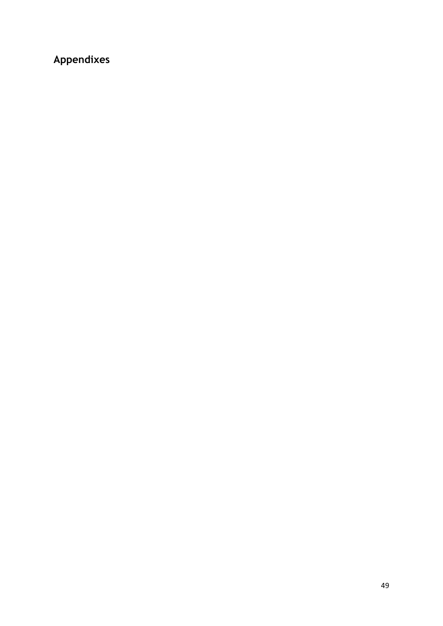# **Appendixes**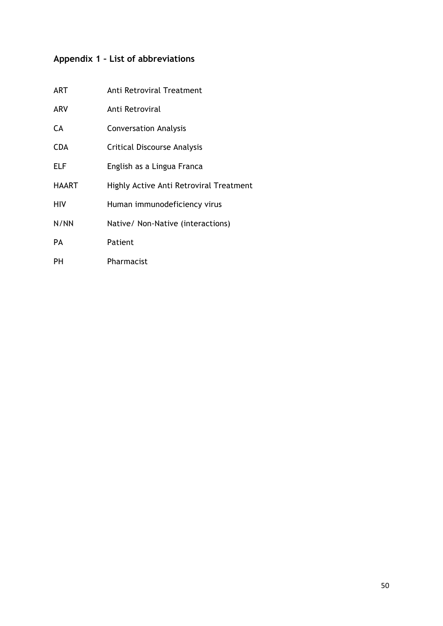# **Appendix 1 – List of abbreviations**

| <b>ART</b>   | Anti Retroviral Treatment               |
|--------------|-----------------------------------------|
| <b>ARV</b>   | Anti Retroviral                         |
| <b>CA</b>    | <b>Conversation Analysis</b>            |
| <b>CDA</b>   | <b>Critical Discourse Analysis</b>      |
| ELF          | English as a Lingua Franca              |
| <b>HAART</b> | Highly Active Anti Retroviral Treatment |
| <b>HIV</b>   | Human immunodeficiency virus            |
| N/NN         | Native/ Non-Native (interactions)       |
| PА           | Patient                                 |
| PН           | Pharmacist                              |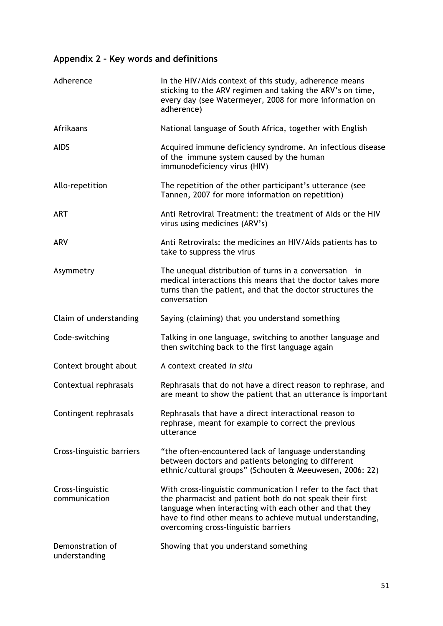# **Appendix 2 – Key words and definitions**

| Adherence                         | In the HIV/Aids context of this study, adherence means<br>sticking to the ARV regimen and taking the ARV's on time,<br>every day (see Watermeyer, 2008 for more information on<br>adherence)                                                                                             |
|-----------------------------------|------------------------------------------------------------------------------------------------------------------------------------------------------------------------------------------------------------------------------------------------------------------------------------------|
| Afrikaans                         | National language of South Africa, together with English                                                                                                                                                                                                                                 |
| <b>AIDS</b>                       | Acquired immune deficiency syndrome. An infectious disease<br>of the immune system caused by the human<br>immunodeficiency virus (HIV)                                                                                                                                                   |
| Allo-repetition                   | The repetition of the other participant's utterance (see<br>Tannen, 2007 for more information on repetition)                                                                                                                                                                             |
| <b>ART</b>                        | Anti Retroviral Treatment: the treatment of Aids or the HIV<br>virus using medicines (ARV's)                                                                                                                                                                                             |
| <b>ARV</b>                        | Anti Retrovirals: the medicines an HIV/Aids patients has to<br>take to suppress the virus                                                                                                                                                                                                |
| Asymmetry                         | The unequal distribution of turns in a conversation - in<br>medical interactions this means that the doctor takes more<br>turns than the patient, and that the doctor structures the<br>conversation                                                                                     |
| Claim of understanding            | Saying (claiming) that you understand something                                                                                                                                                                                                                                          |
| Code-switching                    | Talking in one language, switching to another language and<br>then switching back to the first language again                                                                                                                                                                            |
| Context brought about             | A context created in situ                                                                                                                                                                                                                                                                |
| Contextual rephrasals             | Rephrasals that do not have a direct reason to rephrase, and<br>are meant to show the patient that an utterance is important                                                                                                                                                             |
| Contingent rephrasals             | Rephrasals that have a direct interactional reason to<br>rephrase, meant for example to correct the previous<br>utterance                                                                                                                                                                |
| Cross-linguistic barriers         | "the often-encountered lack of language understanding<br>between doctors and patients belonging to different<br>ethnic/cultural groups" (Schouten & Meeuwesen, 2006: 22)                                                                                                                 |
| Cross-linguistic<br>communication | With cross-linguistic communication I refer to the fact that<br>the pharmacist and patient both do not speak their first<br>language when interacting with each other and that they<br>have to find other means to achieve mutual understanding,<br>overcoming cross-linguistic barriers |
| Demonstration of<br>understanding | Showing that you understand something                                                                                                                                                                                                                                                    |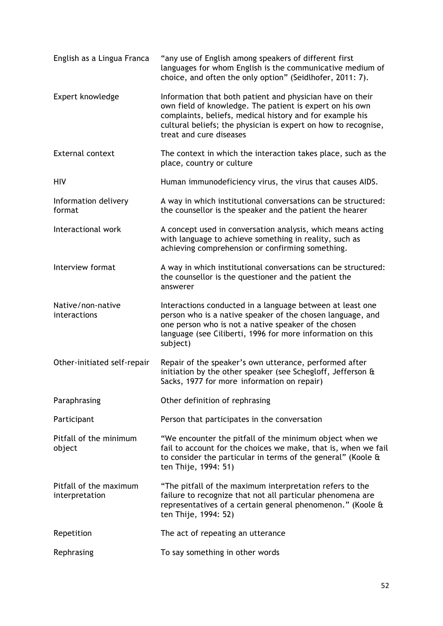| English as a Lingua Franca               | "any use of English among speakers of different first<br>languages for whom English is the communicative medium of<br>choice, and often the only option" (Seidlhofer, 2011: 7).                                                                                                |
|------------------------------------------|--------------------------------------------------------------------------------------------------------------------------------------------------------------------------------------------------------------------------------------------------------------------------------|
| Expert knowledge                         | Information that both patient and physician have on their<br>own field of knowledge. The patient is expert on his own<br>complaints, beliefs, medical history and for example his<br>cultural beliefs; the physician is expert on how to recognise,<br>treat and cure diseases |
| <b>External context</b>                  | The context in which the interaction takes place, such as the<br>place, country or culture                                                                                                                                                                                     |
| <b>HIV</b>                               | Human immunodeficiency virus, the virus that causes AIDS.                                                                                                                                                                                                                      |
| Information delivery<br>format           | A way in which institutional conversations can be structured:<br>the counsellor is the speaker and the patient the hearer                                                                                                                                                      |
| Interactional work                       | A concept used in conversation analysis, which means acting<br>with language to achieve something in reality, such as<br>achieving comprehension or confirming something.                                                                                                      |
| Interview format                         | A way in which institutional conversations can be structured:<br>the counsellor is the questioner and the patient the<br>answerer                                                                                                                                              |
| Native/non-native<br>interactions        | Interactions conducted in a language between at least one<br>person who is a native speaker of the chosen language, and<br>one person who is not a native speaker of the chosen<br>language (see Ciliberti, 1996 for more information on this<br>subject)                      |
| Other-initiated self-repair              | Repair of the speaker's own utterance, performed after<br>initiation by the other speaker (see Schegloff, Jefferson &<br>Sacks, 1977 for more information on repair)                                                                                                           |
| Paraphrasing                             | Other definition of rephrasing                                                                                                                                                                                                                                                 |
| Participant                              | Person that participates in the conversation                                                                                                                                                                                                                                   |
| Pitfall of the minimum<br>object         | "We encounter the pitfall of the minimum object when we<br>fail to account for the choices we make, that is, when we fail<br>to consider the particular in terms of the general" (Koole &<br>ten Thije, 1994: 51)                                                              |
| Pitfall of the maximum<br>interpretation | "The pitfall of the maximum interpretation refers to the<br>failure to recognize that not all particular phenomena are<br>representatives of a certain general phenomenon." (Koole &<br>ten Thije, 1994: 52)                                                                   |
| Repetition                               | The act of repeating an utterance                                                                                                                                                                                                                                              |
| Rephrasing                               | To say something in other words                                                                                                                                                                                                                                                |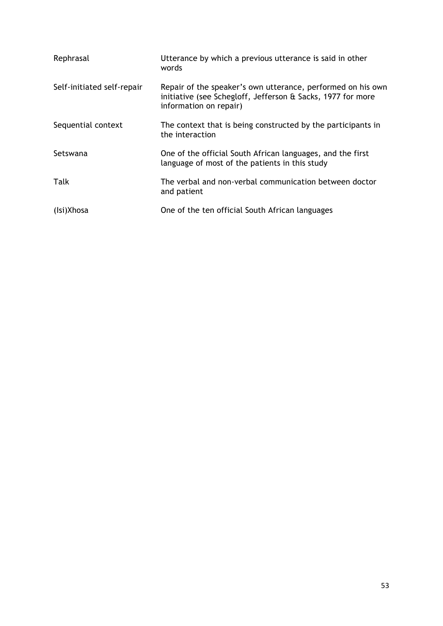| Rephrasal                  | Utterance by which a previous utterance is said in other<br>words                                                                                    |
|----------------------------|------------------------------------------------------------------------------------------------------------------------------------------------------|
| Self-initiated self-repair | Repair of the speaker's own utterance, performed on his own<br>initiative (see Schegloff, Jefferson & Sacks, 1977 for more<br>information on repair) |
| Sequential context         | The context that is being constructed by the participants in<br>the interaction                                                                      |
| Setswana                   | One of the official South African languages, and the first<br>language of most of the patients in this study                                         |
| Talk                       | The verbal and non-verbal communication between doctor<br>and patient                                                                                |
| (Isi)Xhosa                 | One of the ten official South African languages                                                                                                      |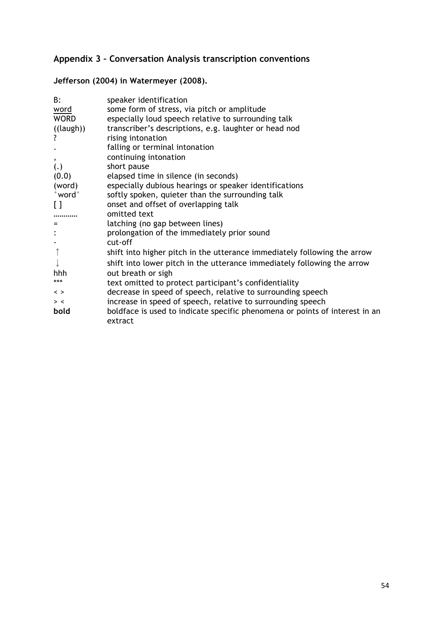# **Appendix 3 – Conversation Analysis transcription conventions**

# **Jefferson (2004) in Watermeyer (2008).**

| B:                       | speaker identification                                                                 |
|--------------------------|----------------------------------------------------------------------------------------|
| word                     | some form of stress, via pitch or amplitude                                            |
| <b>WORD</b>              | especially loud speech relative to surrounding talk                                    |
| ((laugh))                | transcriber's descriptions, e.g. laughter or head nod                                  |
| ?                        | rising intonation                                                                      |
|                          | falling or terminal intonation                                                         |
| $\overline{\phantom{a}}$ | continuing intonation                                                                  |
| (.)                      | short pause                                                                            |
| (0.0)                    | elapsed time in silence (in seconds)                                                   |
| (word)                   | especially dubious hearings or speaker identifications                                 |
| $\degree$ word $\degree$ | softly spoken, quieter than the surrounding talk                                       |
| $\Box$                   | onset and offset of overlapping talk                                                   |
|                          | omitted text                                                                           |
| $=$                      | latching (no gap between lines)                                                        |
| :                        | prolongation of the immediately prior sound                                            |
|                          | cut-off                                                                                |
|                          | shift into higher pitch in the utterance immediately following the arrow               |
|                          | shift into lower pitch in the utterance immediately following the arrow                |
| hhh                      | out breath or sigh                                                                     |
| ***                      | text omitted to protect participant's confidentiality                                  |
| $\langle$ $>$            | decrease in speed of speech, relative to surrounding speech                            |
| $>$ <                    | increase in speed of speech, relative to surrounding speech                            |
| bold                     | boldface is used to indicate specific phenomena or points of interest in an<br>extract |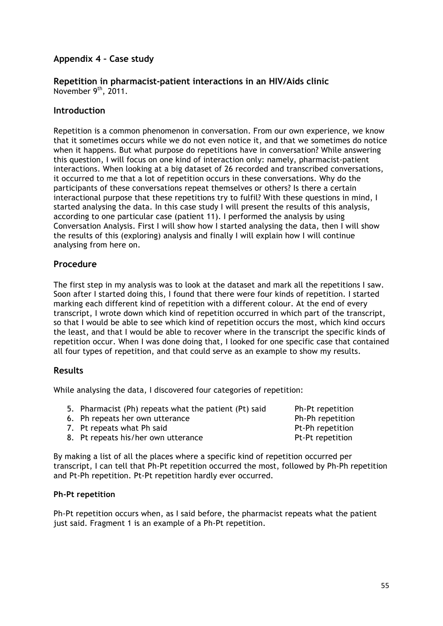# **Appendix 4 – Case study**

**Repetition in pharmacist-patient interactions in an HIV/Aids clinic** November  $9<sup>th</sup>$ , 2011.

# **Introduction**

Repetition is a common phenomenon in conversation. From our own experience, we know that it sometimes occurs while we do not even notice it, and that we sometimes do notice when it happens. But what purpose do repetitions have in conversation? While answering this question, I will focus on one kind of interaction only: namely, pharmacist-patient interactions. When looking at a big dataset of 26 recorded and transcribed conversations, it occurred to me that a lot of repetition occurs in these conversations. Why do the participants of these conversations repeat themselves or others? Is there a certain interactional purpose that these repetitions try to fulfil? With these questions in mind, I started analysing the data. In this case study I will present the results of this analysis, according to one particular case (patient 11). I performed the analysis by using Conversation Analysis. First I will show how I started analysing the data, then I will show the results of this (exploring) analysis and finally I will explain how I will continue analysing from here on.

# **Procedure**

The first step in my analysis was to look at the dataset and mark all the repetitions I saw. Soon after I started doing this, I found that there were four kinds of repetition. I started marking each different kind of repetition with a different colour. At the end of every transcript, I wrote down which kind of repetition occurred in which part of the transcript, so that I would be able to see which kind of repetition occurs the most, which kind occurs the least, and that I would be able to recover where in the transcript the specific kinds of repetition occur. When I was done doing that, I looked for one specific case that contained all four types of repetition, and that could serve as an example to show my results.

# **Results**

While analysing the data, I discovered four categories of repetition:

| 5. Pharmacist (Ph) repeats what the patient (Pt) said | Ph-Pt repetition |
|-------------------------------------------------------|------------------|
| 6. Ph repeats her own utterance                       | Ph-Ph repetition |
| 7. Pt repeats what Ph said                            | Pt-Ph repetition |
| 8. Pt repeats his/her own utterance                   | Pt-Pt repetition |

By making a list of all the places where a specific kind of repetition occurred per transcript, I can tell that Ph-Pt repetition occurred the most, followed by Ph-Ph repetition and Pt-Ph repetition. Pt-Pt repetition hardly ever occurred.

# **Ph-Pt repetition**

Ph-Pt repetition occurs when, as I said before, the pharmacist repeats what the patient just said. Fragment 1 is an example of a Ph-Pt repetition.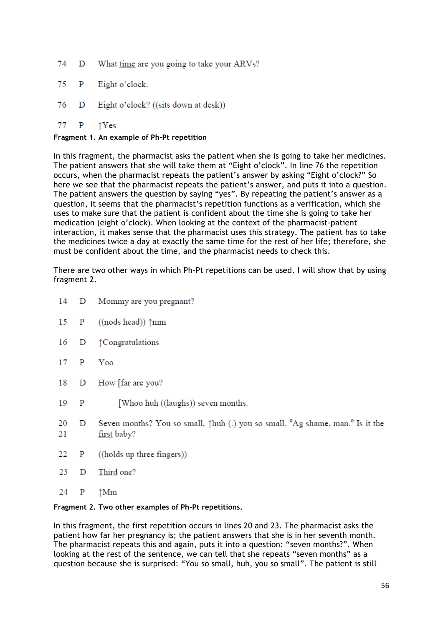- 74 What time are you going to take your ARVs? D
- 75 P Eight o'clock.
- 76 Eight o'clock? ((sits down at desk)) D
- 77  $\mathbf{P}$  $\uparrow$ Yes

**Fragment 1. An example of Ph-Pt repetition**

In this fragment, the pharmacist asks the patient when she is going to take her medicines. The patient answers that she will take them at "Eight o'clock". In line 76 the repetition occurs, when the pharmacist repeats the patient's answer by asking "Eight o'clock?" So here we see that the pharmacist repeats the patient's answer, and puts it into a question. The patient answers the question by saying "yes". By repeating the patient's answer as a question, it seems that the pharmacist's repetition functions as a verification, which she uses to make sure that the patient is confident about the time she is going to take her medication (eight o'clock). When looking at the context of the pharmacist-patient interaction, it makes sense that the pharmacist uses this strategy. The patient has to take the medicines twice a day at exactly the same time for the rest of her life; therefore, she must be confident about the time, and the pharmacist needs to check this.

There are two other ways in which Ph-Pt repetitions can be used. I will show that by using fragment 2.

- 14 D Mommy are you pregnant?
- 15  $\mathbf{P}$  $((nods head))$   $\uparrow$ mm
- 16 D ↑ Congratulations
- $17$  $\mathbf{P}$ Yoo
- How [far are you? 18 D
- 19 P [Whoo huh ((laughs)) seven months.
- Seven months? You so small,  $\uparrow$ huh (.) you so small. <sup>o</sup>Ag shame, man.<sup>o</sup> Is it the 20 D first baby? 21
- 22  $\mathbf{P}$ ((holds up three fingers))
- 23 D Third one?
- 24  $\mathbf{P}$  $\uparrow$ Mm

#### **Fragment 2. Two other examples of Ph-Pt repetitions.**

In this fragment, the first repetition occurs in lines 20 and 23. The pharmacist asks the patient how far her pregnancy is; the patient answers that she is in her seventh month. The pharmacist repeats this and again, puts it into a question: "seven months?". When looking at the rest of the sentence, we can tell that she repeats "seven months" as a question because she is surprised: "You so small, huh, you so small". The patient is still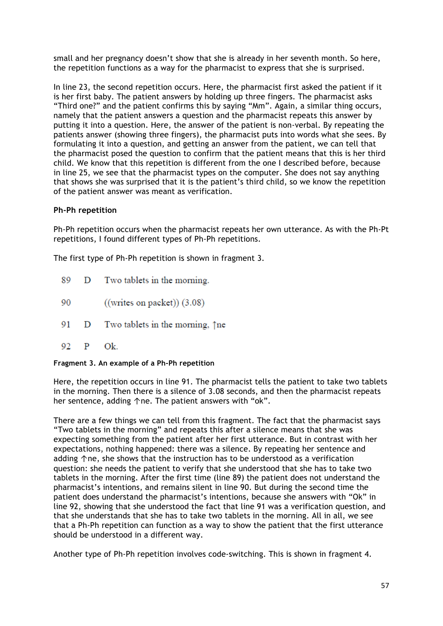small and her pregnancy doesn't show that she is already in her seventh month. So here, the repetition functions as a way for the pharmacist to express that she is surprised.

In line 23, the second repetition occurs. Here, the pharmacist first asked the patient if it is her first baby. The patient answers by holding up three fingers. The pharmacist asks "Third one?" and the patient confirms this by saying "Mm". Again, a similar thing occurs, namely that the patient answers a question and the pharmacist repeats this answer by putting it into a question. Here, the answer of the patient is non-verbal. By repeating the patients answer (showing three fingers), the pharmacist puts into words what she sees. By formulating it into a question, and getting an answer from the patient, we can tell that the pharmacist posed the question to confirm that the patient means that this is her third child. We know that this repetition is different from the one I described before, because in line 25, we see that the pharmacist types on the computer. She does not say anything that shows she was surprised that it is the patient's third child, so we know the repetition of the patient answer was meant as verification.

# **Ph-Ph repetition**

Ph-Ph repetition occurs when the pharmacist repeats her own utterance. As with the Ph-Pt repetitions, I found different types of Ph-Ph repetitions.

The first type of Ph-Ph repetition is shown in fragment 3.

- 89 D Two tablets in the morning.
- 90  $((\text{writes on packet}))$  (3.08)
- 91 D Two tablets in the morning,  $\hat{\uparrow}$ ne
- 92  $\mathbf{P}$ Ok.

#### **Fragment 3. An example of a Ph-Ph repetition**

Here, the repetition occurs in line 91. The pharmacist tells the patient to take two tablets in the morning. Then there is a silence of 3.08 seconds, and then the pharmacist repeats her sentence, adding ↑ne. The patient answers with "ok".

There are a few things we can tell from this fragment. The fact that the pharmacist says "Two tablets in the morning" and repeats this after a silence means that she was expecting something from the patient after her first utterance. But in contrast with her expectations, nothing happened: there was a silence. By repeating her sentence and adding ↑ne, she shows that the instruction has to be understood as a verification question: she needs the patient to verify that she understood that she has to take two tablets in the morning. After the first time (line 89) the patient does not understand the pharmacist's intentions, and remains silent in line 90. But during the second time the patient does understand the pharmacist's intentions, because she answers with "Ok" in line 92, showing that she understood the fact that line 91 was a verification question, and that she understands that she has to take two tablets in the morning. All in all, we see that a Ph-Ph repetition can function as a way to show the patient that the first utterance should be understood in a different way.

Another type of Ph-Ph repetition involves code-switching. This is shown in fragment 4.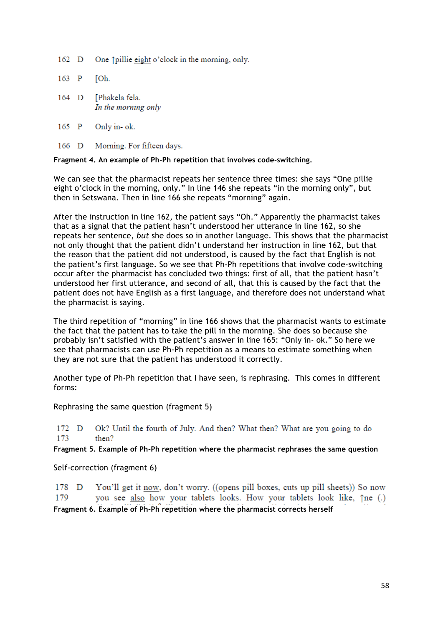162 D One *pillie* eight o'clock in the morning, only.

163 P [Oh.

164 D [Phakela fela. In the morning only

165 P Only in-ok.

166 D Morning. For fifteen days.

**Fragment 4. An example of Ph-Ph repetition that involves code-switching.**

We can see that the pharmacist repeats her sentence three times: she says "One pillie eight o'clock in the morning, only." In line 146 she repeats "in the morning only", but then in Setswana. Then in line 166 she repeats "morning" again.

After the instruction in line 162, the patient says "Oh." Apparently the pharmacist takes that as a signal that the patient hasn't understood her utterance in line 162, so she repeats her sentence, *but* she does so in another language. This shows that the pharmacist not only thought that the patient didn't understand her instruction in line 162, but that the reason that the patient did not understood, is caused by the fact that English is not the patient's first language. So we see that Ph-Ph repetitions that involve code-switching occur after the pharmacist has concluded two things: first of all, that the patient hasn't understood her first utterance, and second of all, that this is caused by the fact that the patient does not have English as a first language, and therefore does not understand what the pharmacist is saying.

The third repetition of "morning" in line 166 shows that the pharmacist wants to estimate the fact that the patient has to take the pill in the morning. She does so because she probably isn't satisfied with the patient's answer in line 165: "Only in- ok." So here we see that pharmacists can use Ph-Ph repetition as a means to estimate something when they are not sure that the patient has understood it correctly.

Another type of Ph-Ph repetition that I have seen, is rephrasing. This comes in different forms:

Rephrasing the same question (fragment 5)

Ok? Until the fourth of July. And then? What then? What are you going to do  $172$  D 173 then?

**Fragment 5. Example of Ph-Ph repetition where the pharmacist rephrases the same question**

Self-correction (fragment 6)

178 D You'll get it now, don't worry. ((opens pill boxes, cuts up pill sheets)) So now 179 you see also how your tablets looks. How your tablets look like,  $\uparrow$ ne (.) **Fragment 6. Example of Ph-Ph repetition where the pharmacist corrects herself**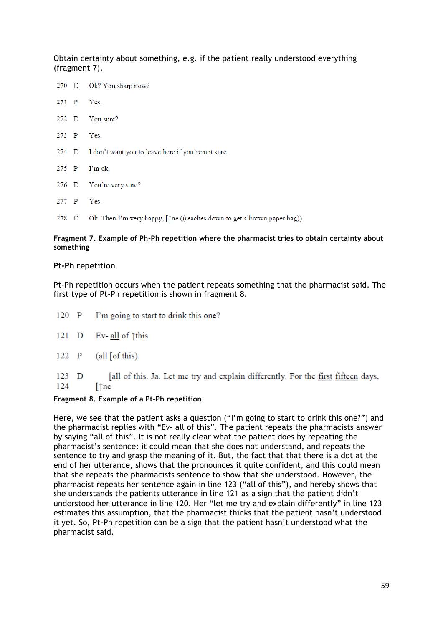Obtain certainty about something, e.g. if the patient really understood everything (fragment 7).

|  | 270 D Ok? You sharp now?                                                     |
|--|------------------------------------------------------------------------------|
|  | 271 P Yes.                                                                   |
|  | 272 D You sure?                                                              |
|  | 273 P Yes.                                                                   |
|  | 274 D I don't want you to leave here if you're not sure.                     |
|  | $275$ P $\Gamma$ m ok.                                                       |
|  | 276 D You're very sure?                                                      |
|  | 277 P Yes.                                                                   |
|  | 278 D Ok. Then I'm very happy, [1] ((reaches down to get a brown paper bag)) |

## **Fragment 7. Example of Ph-Ph repetition where the pharmacist tries to obtain certainty about something**

# **Pt-Ph repetition**

Pt-Ph repetition occurs when the patient repeats something that the pharmacist said. The first type of Pt-Ph repetition is shown in fragment 8.

- $120$  P I'm going to start to drink this one?
- 121 D Ev- all of  $\uparrow$ this
- 122 P  $\left( \text{all } \left[ \text{of this} \right) \right)$ .
- $123$  D [all of this. Ja. Let me try and explain differently. For the first fifteen days, 124  $\lceil \uparrow$ ne

#### **Fragment 8. Example of a Pt-Ph repetition**

Here, we see that the patient asks a question ("I'm going to start to drink this one?") and the pharmacist replies with "Ev- all of this". The patient repeats the pharmacists answer by saying "all of this". It is not really clear what the patient does by repeating the pharmacist's sentence: it could mean that she does not understand, and repeats the sentence to try and grasp the meaning of it. But, the fact that that there is a dot at the end of her utterance, shows that the pronounces it quite confident, and this could mean that she repeats the pharmacists sentence to show that she understood. However, the pharmacist repeats her sentence again in line 123 ("all of this"), and hereby shows that she understands the patients utterance in line 121 as a sign that the patient didn't understood her utterance in line 120. Her "let me try and explain differently" in line 123 estimates this assumption, that the pharmacist thinks that the patient hasn't understood it yet. So, Pt-Ph repetition can be a sign that the patient hasn't understood what the pharmacist said.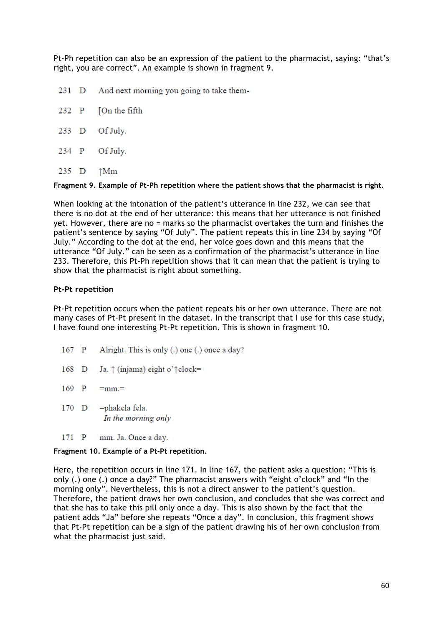Pt-Ph repetition can also be an expression of the patient to the pharmacist, saying: "that's right, you are correct". An example is shown in fragment 9.

- $231$  D And next morning you going to take them-
- $\mathbf{P}$ 232 [On the fifth
- $233$  D Of July.
- 234 P Of July.
- 235 D ↑Mm

**Fragment 9. Example of Pt-Ph repetition where the patient shows that the pharmacist is right.**

When looking at the intonation of the patient's utterance in line 232, we can see that there is no dot at the end of her utterance: this means that her utterance is not finished yet. However, there are no = marks so the pharmacist overtakes the turn and finishes the patient's sentence by saying "Of July". The patient repeats this in line 234 by saying "Of July." According to the dot at the end, her voice goes down and this means that the utterance "Of July." can be seen as a confirmation of the pharmacist's utterance in line 233. Therefore, this Pt-Ph repetition shows that it can mean that the patient is trying to show that the pharmacist is right about something.

#### **Pt-Pt repetition**

Pt-Pt repetition occurs when the patient repeats his or her own utterance. There are not many cases of Pt-Pt present in the dataset. In the transcript that I use for this case study, I have found one interesting Pt-Pt repetition. This is shown in fragment 10.

- $167$  P Alright. This is only (.) one (.) once a day?
- 168 D Ja.  $\uparrow$  (injama) eight o' $\uparrow$ clock=
- 169 P  $=$ mm. $=$
- 170 D =phakela fela. In the morning only
- $171$  P mm. Ja. Once a day.

#### **Fragment 10. Example of a Pt-Pt repetition.**

Here, the repetition occurs in line 171. In line 167, the patient asks a question: "This is only (.) one (.) once a day?" The pharmacist answers with "eight o'clock" and "In the morning only". Nevertheless, this is not a direct answer to the patient's question. Therefore, the patient draws her own conclusion, and concludes that she was correct and that she has to take this pill only once a day. This is also shown by the fact that the patient adds "Ja" before she repeats "Once a day". In conclusion, this fragment shows that Pt-Pt repetition can be a sign of the patient drawing his of her own conclusion from what the pharmacist just said.